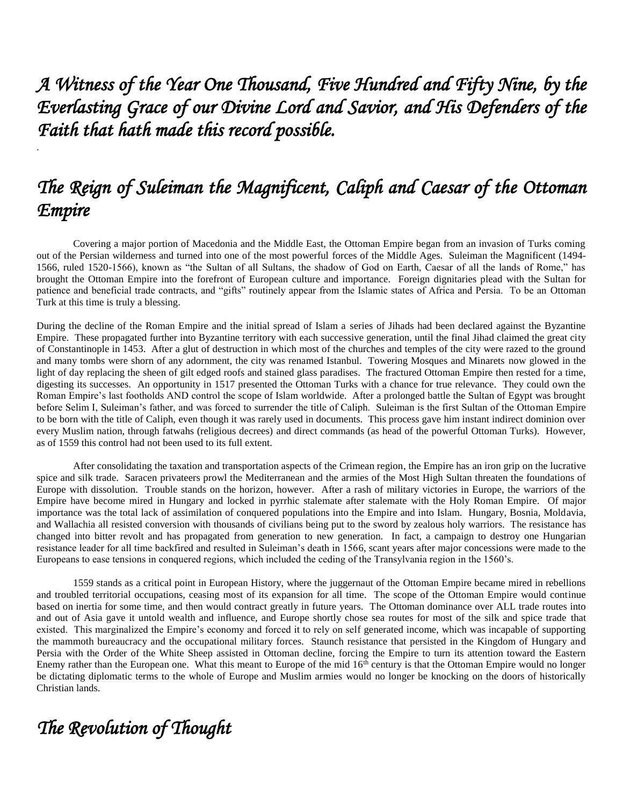*A Witness of the Year One Thousand, Five Hundred and Fifty Nine, by the Everlasting Grace of our Divine Lord and Savior, and His Defenders of the Faith that hath made this record possible.* 

# *The Reign of Suleiman the Magnificent, Caliph and Caesar of the Ottoman Empire*

Covering a major portion of Macedonia and the Middle East, the Ottoman Empire began from an invasion of Turks coming out of the Persian wilderness and turned into one of the most powerful forces of the Middle Ages. Suleiman the Magnificent (1494- 1566, ruled 1520-1566), known as "the Sultan of all Sultans, the shadow of God on Earth, Caesar of all the lands of Rome," has brought the Ottoman Empire into the forefront of European culture and importance. Foreign dignitaries plead with the Sultan for patience and beneficial trade contracts, and "gifts" routinely appear from the Islamic states of Africa and Persia. To be an Ottoman Turk at this time is truly a blessing.

During the decline of the Roman Empire and the initial spread of Islam a series of Jihads had been declared against the Byzantine Empire. These propagated further into Byzantine territory with each successive generation, until the final Jihad claimed the great city of Constantinople in 1453. After a glut of destruction in which most of the churches and temples of the city were razed to the ground and many tombs were shorn of any adornment, the city was renamed Istanbul. Towering Mosques and Minarets now glowed in the light of day replacing the sheen of gilt edged roofs and stained glass paradises. The fractured Ottoman Empire then rested for a time, digesting its successes. An opportunity in 1517 presented the Ottoman Turks with a chance for true relevance. They could own the Roman Empire's last footholds AND control the scope of Islam worldwide. After a prolonged battle the Sultan of Egypt was brought before Selim I, Suleiman's father, and was forced to surrender the title of Caliph. Suleiman is the first Sultan of the Ottoman Empire to be born with the title of Caliph, even though it was rarely used in documents. This process gave him instant indirect dominion over every Muslim nation, through fatwahs (religious decrees) and direct commands (as head of the powerful Ottoman Turks). However, as of 1559 this control had not been used to its full extent.

After consolidating the taxation and transportation aspects of the Crimean region, the Empire has an iron grip on the lucrative spice and silk trade. Saracen privateers prowl the Mediterranean and the armies of the Most High Sultan threaten the foundations of Europe with dissolution. Trouble stands on the horizon, however. After a rash of military victories in Europe, the warriors of the Empire have become mired in Hungary and locked in pyrrhic stalemate after stalemate with the Holy Roman Empire. Of major importance was the total lack of assimilation of conquered populations into the Empire and into Islam. Hungary, Bosnia, Moldavia, and Wallachia all resisted conversion with thousands of civilians being put to the sword by zealous holy warriors. The resistance has changed into bitter revolt and has propagated from generation to new generation. In fact, a campaign to destroy one Hungarian resistance leader for all time backfired and resulted in Suleiman's death in 1566, scant years after major concessions were made to the Europeans to ease tensions in conquered regions, which included the ceding of the Transylvania region in the 1560's.

1559 stands as a critical point in European History, where the juggernaut of the Ottoman Empire became mired in rebellions and troubled territorial occupations, ceasing most of its expansion for all time. The scope of the Ottoman Empire would continue based on inertia for some time, and then would contract greatly in future years. The Ottoman dominance over ALL trade routes into and out of Asia gave it untold wealth and influence, and Europe shortly chose sea routes for most of the silk and spice trade that existed. This marginalized the Empire's economy and forced it to rely on self generated income, which was incapable of supporting the mammoth bureaucracy and the occupational military forces. Staunch resistance that persisted in the Kingdom of Hungary and Persia with the Order of the White Sheep assisted in Ottoman decline, forcing the Empire to turn its attention toward the Eastern Enemy rather than the European one. What this meant to Europe of the mid  $16<sup>th</sup>$  century is that the Ottoman Empire would no longer be dictating diplomatic terms to the whole of Europe and Muslim armies would no longer be knocking on the doors of historically Christian lands.

# *The Revolution of Thought*

.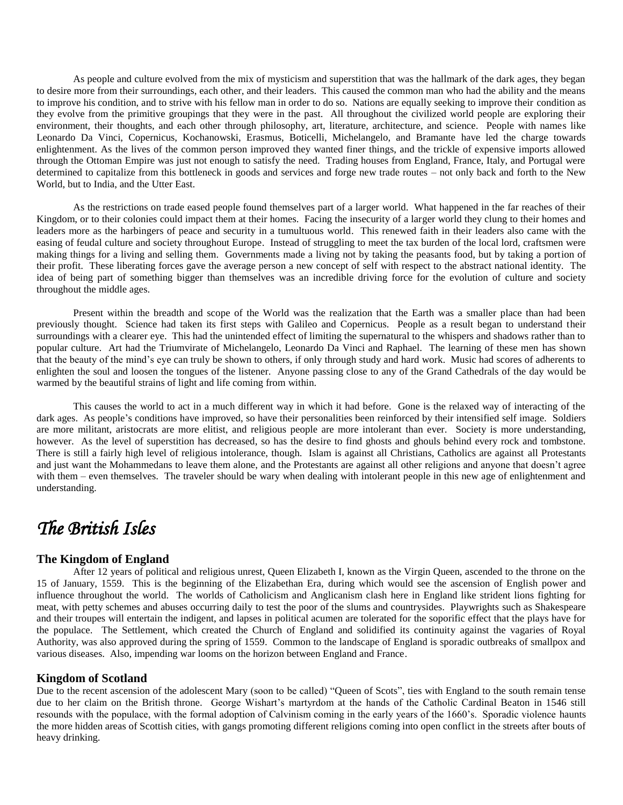As people and culture evolved from the mix of mysticism and superstition that was the hallmark of the dark ages, they began to desire more from their surroundings, each other, and their leaders. This caused the common man who had the ability and the means to improve his condition, and to strive with his fellow man in order to do so. Nations are equally seeking to improve their condition as they evolve from the primitive groupings that they were in the past. All throughout the civilized world people are exploring their environment, their thoughts, and each other through philosophy, art, literature, architecture, and science. People with names like Leonardo Da Vinci, Copernicus, Kochanowski, Erasmus, Boticelli, Michelangelo, and Bramante have led the charge towards enlightenment. As the lives of the common person improved they wanted finer things, and the trickle of expensive imports allowed through the Ottoman Empire was just not enough to satisfy the need. Trading houses from England, France, Italy, and Portugal were determined to capitalize from this bottleneck in goods and services and forge new trade routes – not only back and forth to the New World, but to India, and the Utter East.

As the restrictions on trade eased people found themselves part of a larger world. What happened in the far reaches of their Kingdom, or to their colonies could impact them at their homes. Facing the insecurity of a larger world they clung to their homes and leaders more as the harbingers of peace and security in a tumultuous world. This renewed faith in their leaders also came with the easing of feudal culture and society throughout Europe. Instead of struggling to meet the tax burden of the local lord, craftsmen were making things for a living and selling them. Governments made a living not by taking the peasants food, but by taking a portion of their profit. These liberating forces gave the average person a new concept of self with respect to the abstract national identity. The idea of being part of something bigger than themselves was an incredible driving force for the evolution of culture and society throughout the middle ages.

Present within the breadth and scope of the World was the realization that the Earth was a smaller place than had been previously thought. Science had taken its first steps with Galileo and Copernicus. People as a result began to understand their surroundings with a clearer eye. This had the unintended effect of limiting the supernatural to the whispers and shadows rather than to popular culture. Art had the Triumvirate of Michelangelo, Leonardo Da Vinci and Raphael. The learning of these men has shown that the beauty of the mind's eye can truly be shown to others, if only through study and hard work. Music had scores of adherents to enlighten the soul and loosen the tongues of the listener. Anyone passing close to any of the Grand Cathedrals of the day would be warmed by the beautiful strains of light and life coming from within.

This causes the world to act in a much different way in which it had before. Gone is the relaxed way of interacting of the dark ages. As people's conditions have improved, so have their personalities been reinforced by their intensified self image. Soldiers are more militant, aristocrats are more elitist, and religious people are more intolerant than ever. Society is more understanding, however. As the level of superstition has decreased, so has the desire to find ghosts and ghouls behind every rock and tombstone. There is still a fairly high level of religious intolerance, though. Islam is against all Christians, Catholics are against all Protestants and just want the Mohammedans to leave them alone, and the Protestants are against all other religions and anyone that doesn't agree with them – even themselves. The traveler should be wary when dealing with intolerant people in this new age of enlightenment and understanding.

# *The British Isles*

# **The Kingdom of England**

After 12 years of political and religious unrest, Queen Elizabeth I, known as the Virgin Queen, ascended to the throne on the 15 of January, 1559. This is the beginning of the Elizabethan Era, during which would see the ascension of English power and influence throughout the world. The worlds of Catholicism and Anglicanism clash here in England like strident lions fighting for meat, with petty schemes and abuses occurring daily to test the poor of the slums and countrysides. Playwrights such as Shakespeare and their troupes will entertain the indigent, and lapses in political acumen are tolerated for the soporific effect that the plays have for the populace. The Settlement, which created the Church of England and solidified its continuity against the vagaries of Royal Authority, was also approved during the spring of 1559. Common to the landscape of England is sporadic outbreaks of smallpox and various diseases. Also, impending war looms on the horizon between England and France.

## **Kingdom of Scotland**

Due to the recent ascension of the adolescent Mary (soon to be called) "Queen of Scots", ties with England to the south remain tense due to her claim on the British throne. George Wishart's martyrdom at the hands of the Catholic Cardinal Beaton in 1546 still resounds with the populace, with the formal adoption of Calvinism coming in the early years of the 1660's. Sporadic violence haunts the more hidden areas of Scottish cities, with gangs promoting different religions coming into open conflict in the streets after bouts of heavy drinking.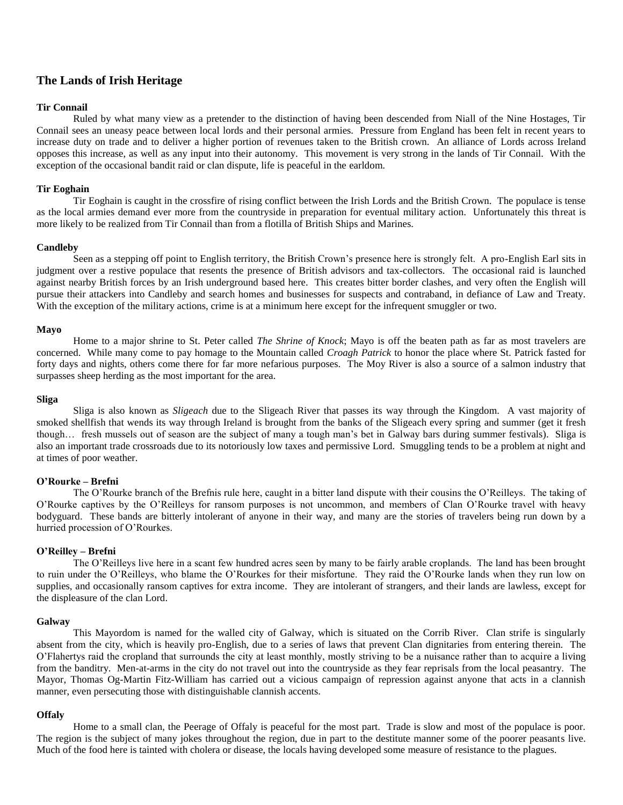## **The Lands of Irish Heritage**

## **Tir Connail**

Ruled by what many view as a pretender to the distinction of having been descended from Niall of the Nine Hostages, Tir Connail sees an uneasy peace between local lords and their personal armies. Pressure from England has been felt in recent years to increase duty on trade and to deliver a higher portion of revenues taken to the British crown. An alliance of Lords across Ireland opposes this increase, as well as any input into their autonomy. This movement is very strong in the lands of Tir Connail. With the exception of the occasional bandit raid or clan dispute, life is peaceful in the earldom.

## **Tir Eoghain**

Tir Eoghain is caught in the crossfire of rising conflict between the Irish Lords and the British Crown. The populace is tense as the local armies demand ever more from the countryside in preparation for eventual military action. Unfortunately this threat is more likely to be realized from Tir Connail than from a flotilla of British Ships and Marines.

## **Candleby**

Seen as a stepping off point to English territory, the British Crown's presence here is strongly felt. A pro-English Earl sits in judgment over a restive populace that resents the presence of British advisors and tax-collectors. The occasional raid is launched against nearby British forces by an Irish underground based here. This creates bitter border clashes, and very often the English will pursue their attackers into Candleby and search homes and businesses for suspects and contraband, in defiance of Law and Treaty. With the exception of the military actions, crime is at a minimum here except for the infrequent smuggler or two.

## **Mayo**

Home to a major shrine to St. Peter called *The Shrine of Knock*; Mayo is off the beaten path as far as most travelers are concerned. While many come to pay homage to the Mountain called *Croagh Patrick* to honor the place where St. Patrick fasted for forty days and nights, others come there for far more nefarious purposes. The Moy River is also a source of a salmon industry that surpasses sheep herding as the most important for the area.

#### **Sliga**

Sliga is also known as *Sligeach* due to the Sligeach River that passes its way through the Kingdom. A vast majority of smoked shellfish that wends its way through Ireland is brought from the banks of the Sligeach every spring and summer (get it fresh though… fresh mussels out of season are the subject of many a tough man's bet in Galway bars during summer festivals). Sliga is also an important trade crossroads due to its notoriously low taxes and permissive Lord. Smuggling tends to be a problem at night and at times of poor weather.

## **O'Rourke – Brefni**

The O'Rourke branch of the Brefnis rule here, caught in a bitter land dispute with their cousins the O'Reilleys. The taking of O'Rourke captives by the O'Reilleys for ransom purposes is not uncommon, and members of Clan O'Rourke travel with heavy bodyguard. These bands are bitterly intolerant of anyone in their way, and many are the stories of travelers being run down by a hurried procession of O'Rourkes.

### **O'Reilley – Brefni**

The O'Reilleys live here in a scant few hundred acres seen by many to be fairly arable croplands. The land has been brought to ruin under the O'Reilleys, who blame the O'Rourkes for their misfortune. They raid the O'Rourke lands when they run low on supplies, and occasionally ransom captives for extra income. They are intolerant of strangers, and their lands are lawless, except for the displeasure of the clan Lord.

### **Galway**

This Mayordom is named for the walled city of Galway, which is situated on the Corrib River. Clan strife is singularly absent from the city, which is heavily pro-English, due to a series of laws that prevent Clan dignitaries from entering therein. The O'Flahertys raid the cropland that surrounds the city at least monthly, mostly striving to be a nuisance rather than to acquire a living from the banditry. Men-at-arms in the city do not travel out into the countryside as they fear reprisals from the local peasantry. The Mayor, Thomas Og-Martin Fitz-William has carried out a vicious campaign of repression against anyone that acts in a clannish manner, even persecuting those with distinguishable clannish accents.

## **Offaly**

Home to a small clan, the Peerage of Offaly is peaceful for the most part. Trade is slow and most of the populace is poor. The region is the subject of many jokes throughout the region, due in part to the destitute manner some of the poorer peasants live. Much of the food here is tainted with cholera or disease, the locals having developed some measure of resistance to the plagues.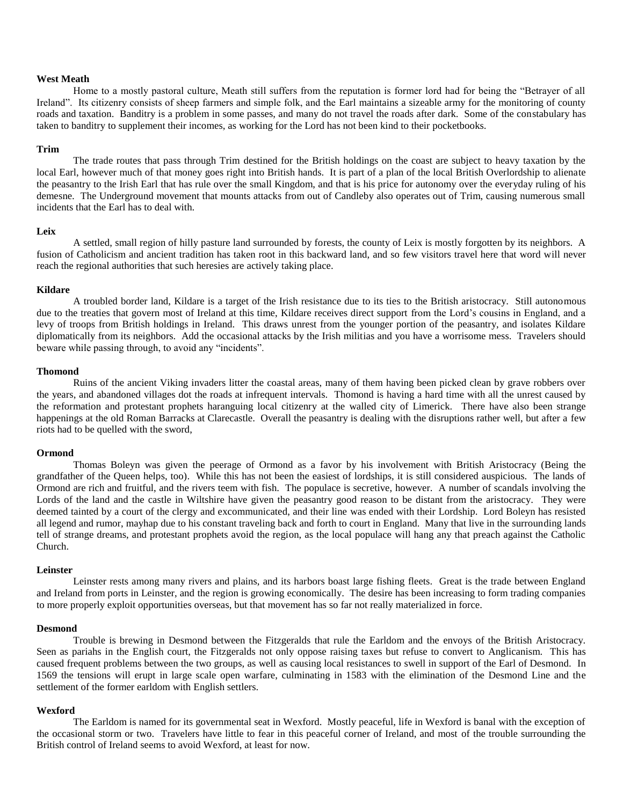## **West Meath**

Home to a mostly pastoral culture, Meath still suffers from the reputation is former lord had for being the "Betrayer of all Ireland". Its citizenry consists of sheep farmers and simple folk, and the Earl maintains a sizeable army for the monitoring of county roads and taxation. Banditry is a problem in some passes, and many do not travel the roads after dark. Some of the constabulary has taken to banditry to supplement their incomes, as working for the Lord has not been kind to their pocketbooks.

#### **Trim**

The trade routes that pass through Trim destined for the British holdings on the coast are subject to heavy taxation by the local Earl, however much of that money goes right into British hands. It is part of a plan of the local British Overlordship to alienate the peasantry to the Irish Earl that has rule over the small Kingdom, and that is his price for autonomy over the everyday ruling of his demesne. The Underground movement that mounts attacks from out of Candleby also operates out of Trim, causing numerous small incidents that the Earl has to deal with.

#### **Leix**

A settled, small region of hilly pasture land surrounded by forests, the county of Leix is mostly forgotten by its neighbors. A fusion of Catholicism and ancient tradition has taken root in this backward land, and so few visitors travel here that word will never reach the regional authorities that such heresies are actively taking place.

#### **Kildare**

A troubled border land, Kildare is a target of the Irish resistance due to its ties to the British aristocracy. Still autonomous due to the treaties that govern most of Ireland at this time, Kildare receives direct support from the Lord's cousins in England, and a levy of troops from British holdings in Ireland. This draws unrest from the younger portion of the peasantry, and isolates Kildare diplomatically from its neighbors. Add the occasional attacks by the Irish militias and you have a worrisome mess. Travelers should beware while passing through, to avoid any "incidents".

## **Thomond**

Ruins of the ancient Viking invaders litter the coastal areas, many of them having been picked clean by grave robbers over the years, and abandoned villages dot the roads at infrequent intervals. Thomond is having a hard time with all the unrest caused by the reformation and protestant prophets haranguing local citizenry at the walled city of Limerick. There have also been strange happenings at the old Roman Barracks at Clarecastle. Overall the peasantry is dealing with the disruptions rather well, but after a few riots had to be quelled with the sword,

### **Ormond**

Thomas Boleyn was given the peerage of Ormond as a favor by his involvement with British Aristocracy (Being the grandfather of the Queen helps, too). While this has not been the easiest of lordships, it is still considered auspicious. The lands of Ormond are rich and fruitful, and the rivers teem with fish. The populace is secretive, however. A number of scandals involving the Lords of the land and the castle in Wiltshire have given the peasantry good reason to be distant from the aristocracy. They were deemed tainted by a court of the clergy and excommunicated, and their line was ended with their Lordship. Lord Boleyn has resisted all legend and rumor, mayhap due to his constant traveling back and forth to court in England. Many that live in the surrounding lands tell of strange dreams, and protestant prophets avoid the region, as the local populace will hang any that preach against the Catholic Church.

## **Leinster**

Leinster rests among many rivers and plains, and its harbors boast large fishing fleets. Great is the trade between England and Ireland from ports in Leinster, and the region is growing economically. The desire has been increasing to form trading companies to more properly exploit opportunities overseas, but that movement has so far not really materialized in force.

## **Desmond**

Trouble is brewing in Desmond between the Fitzgeralds that rule the Earldom and the envoys of the British Aristocracy. Seen as pariahs in the English court, the Fitzgeralds not only oppose raising taxes but refuse to convert to Anglicanism. This has caused frequent problems between the two groups, as well as causing local resistances to swell in support of the Earl of Desmond. In 1569 the tensions will erupt in large scale open warfare, culminating in 1583 with the elimination of the Desmond Line and the settlement of the former earldom with English settlers.

## **Wexford**

The Earldom is named for its governmental seat in Wexford. Mostly peaceful, life in Wexford is banal with the exception of the occasional storm or two. Travelers have little to fear in this peaceful corner of Ireland, and most of the trouble surrounding the British control of Ireland seems to avoid Wexford, at least for now.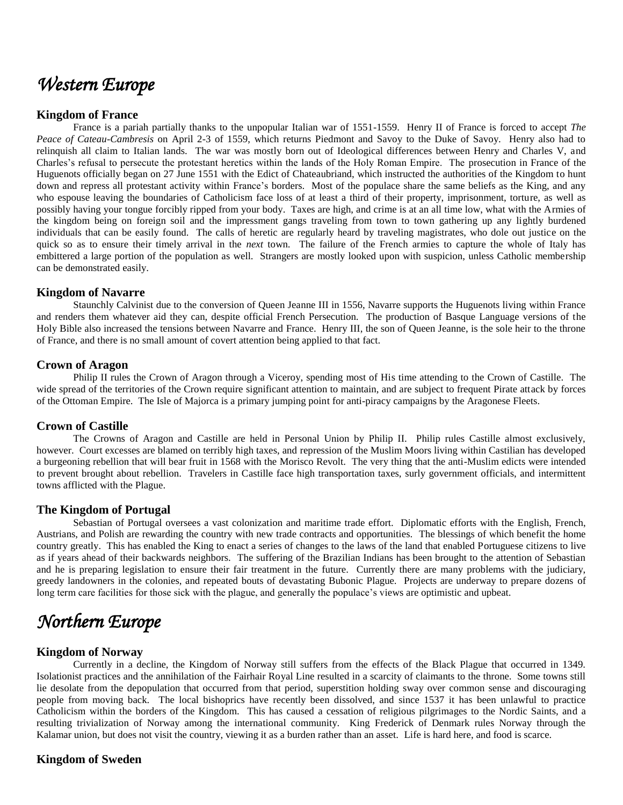# *Western Europe*

## **Kingdom of France**

France is a pariah partially thanks to the unpopular Italian war of 1551-1559. Henry II of France is forced to accept *The Peace of Cateau-Cambresis* on April 2-3 of 1559, which returns Piedmont and Savoy to the Duke of Savoy. Henry also had to relinquish all claim to Italian lands. The war was mostly born out of Ideological differences between Henry and Charles V, and Charles's refusal to persecute the protestant heretics within the lands of the Holy Roman Empire. The prosecution in France of the Huguenots officially began on 27 June 1551 with the Edict of Chateaubriand, which instructed the authorities of the Kingdom to hunt down and repress all protestant activity within France's borders. Most of the populace share the same beliefs as the King, and any who espouse leaving the boundaries of Catholicism face loss of at least a third of their property, imprisonment, torture, as well as possibly having your tongue forcibly ripped from your body. Taxes are high, and crime is at an all time low, what with the Armies of the kingdom being on foreign soil and the impressment gangs traveling from town to town gathering up any lightly burdened individuals that can be easily found. The calls of heretic are regularly heard by traveling magistrates, who dole out justice on the quick so as to ensure their timely arrival in the *next* town. The failure of the French armies to capture the whole of Italy has embittered a large portion of the population as well. Strangers are mostly looked upon with suspicion, unless Catholic membership can be demonstrated easily.

## **Kingdom of Navarre**

Staunchly Calvinist due to the conversion of Queen Jeanne III in 1556, Navarre supports the Huguenots living within France and renders them whatever aid they can, despite official French Persecution. The production of Basque Language versions of the Holy Bible also increased the tensions between Navarre and France. Henry III, the son of Queen Jeanne, is the sole heir to the throne of France, and there is no small amount of covert attention being applied to that fact.

## **Crown of Aragon**

Philip II rules the Crown of Aragon through a Viceroy, spending most of His time attending to the Crown of Castille. The wide spread of the territories of the Crown require significant attention to maintain, and are subject to frequent Pirate attack by forces of the Ottoman Empire. The Isle of Majorca is a primary jumping point for anti-piracy campaigns by the Aragonese Fleets.

## **Crown of Castille**

The Crowns of Aragon and Castille are held in Personal Union by Philip II. Philip rules Castille almost exclusively, however. Court excesses are blamed on terribly high taxes, and repression of the Muslim Moors living within Castilian has developed a burgeoning rebellion that will bear fruit in 1568 with the Morisco Revolt. The very thing that the anti-Muslim edicts were intended to prevent brought about rebellion. Travelers in Castille face high transportation taxes, surly government officials, and intermittent towns afflicted with the Plague.

## **The Kingdom of Portugal**

Sebastian of Portugal oversees a vast colonization and maritime trade effort. Diplomatic efforts with the English, French, Austrians, and Polish are rewarding the country with new trade contracts and opportunities. The blessings of which benefit the home country greatly. This has enabled the King to enact a series of changes to the laws of the land that enabled Portuguese citizens to live as if years ahead of their backwards neighbors. The suffering of the Brazilian Indians has been brought to the attention of Sebastian and he is preparing legislation to ensure their fair treatment in the future. Currently there are many problems with the judiciary, greedy landowners in the colonies, and repeated bouts of devastating Bubonic Plague. Projects are underway to prepare dozens of long term care facilities for those sick with the plague, and generally the populace's views are optimistic and upbeat.

# *Northern Europe*

## **Kingdom of Norway**

Currently in a decline, the Kingdom of Norway still suffers from the effects of the Black Plague that occurred in 1349. Isolationist practices and the annihilation of the Fairhair Royal Line resulted in a scarcity of claimants to the throne. Some towns still lie desolate from the depopulation that occurred from that period, superstition holding sway over common sense and discouraging people from moving back. The local bishoprics have recently been dissolved, and since 1537 it has been unlawful to practice Catholicism within the borders of the Kingdom. This has caused a cessation of religious pilgrimages to the Nordic Saints, and a resulting trivialization of Norway among the international community. King Frederick of Denmark rules Norway through the Kalamar union, but does not visit the country, viewing it as a burden rather than an asset. Life is hard here, and food is scarce.

# **Kingdom of Sweden**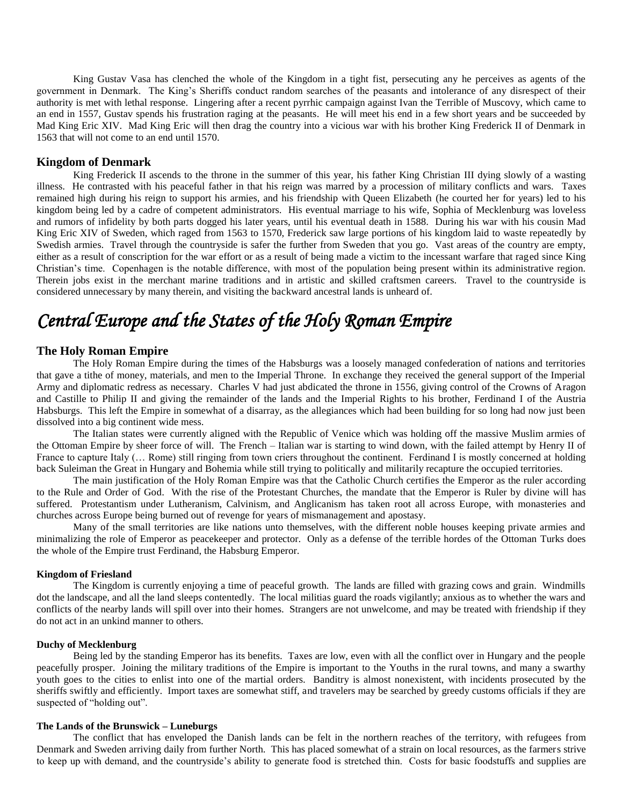King Gustav Vasa has clenched the whole of the Kingdom in a tight fist, persecuting any he perceives as agents of the government in Denmark. The King's Sheriffs conduct random searches of the peasants and intolerance of any disrespect of their authority is met with lethal response. Lingering after a recent pyrrhic campaign against Ivan the Terrible of Muscovy, which came to an end in 1557, Gustav spends his frustration raging at the peasants. He will meet his end in a few short years and be succeeded by Mad King Eric XIV. Mad King Eric will then drag the country into a vicious war with his brother King Frederick II of Denmark in 1563 that will not come to an end until 1570.

## **Kingdom of Denmark**

King Frederick II ascends to the throne in the summer of this year, his father King Christian III dying slowly of a wasting illness. He contrasted with his peaceful father in that his reign was marred by a procession of military conflicts and wars. Taxes remained high during his reign to support his armies, and his friendship with Queen Elizabeth (he courted her for years) led to his kingdom being led by a cadre of competent administrators. His eventual marriage to his wife, Sophia of Mecklenburg was loveless and rumors of infidelity by both parts dogged his later years, until his eventual death in 1588. During his war with his cousin Mad King Eric XIV of Sweden, which raged from 1563 to 1570, Frederick saw large portions of his kingdom laid to waste repeatedly by Swedish armies. Travel through the countryside is safer the further from Sweden that you go. Vast areas of the country are empty, either as a result of conscription for the war effort or as a result of being made a victim to the incessant warfare that raged since King Christian's time. Copenhagen is the notable difference, with most of the population being present within its administrative region. Therein jobs exist in the merchant marine traditions and in artistic and skilled craftsmen careers. Travel to the countryside is considered unnecessary by many therein, and visiting the backward ancestral lands is unheard of.

# *Central Europe and the States of the Holy Roman Empire*

## **The Holy Roman Empire**

The Holy Roman Empire during the times of the Habsburgs was a loosely managed confederation of nations and territories that gave a tithe of money, materials, and men to the Imperial Throne. In exchange they received the general support of the Imperial Army and diplomatic redress as necessary. Charles V had just abdicated the throne in 1556, giving control of the Crowns of Aragon and Castille to Philip II and giving the remainder of the lands and the Imperial Rights to his brother, Ferdinand I of the Austria Habsburgs. This left the Empire in somewhat of a disarray, as the allegiances which had been building for so long had now just been dissolved into a big continent wide mess.

The Italian states were currently aligned with the Republic of Venice which was holding off the massive Muslim armies of the Ottoman Empire by sheer force of will. The French – Italian war is starting to wind down, with the failed attempt by Henry II of France to capture Italy (... Rome) still ringing from town criers throughout the continent. Ferdinand I is mostly concerned at holding back Suleiman the Great in Hungary and Bohemia while still trying to politically and militarily recapture the occupied territories.

The main justification of the Holy Roman Empire was that the Catholic Church certifies the Emperor as the ruler according to the Rule and Order of God. With the rise of the Protestant Churches, the mandate that the Emperor is Ruler by divine will has suffered. Protestantism under Lutheranism, Calvinism, and Anglicanism has taken root all across Europe, with monasteries and churches across Europe being burned out of revenge for years of mismanagement and apostasy.

Many of the small territories are like nations unto themselves, with the different noble houses keeping private armies and minimalizing the role of Emperor as peacekeeper and protector. Only as a defense of the terrible hordes of the Ottoman Turks does the whole of the Empire trust Ferdinand, the Habsburg Emperor.

## **Kingdom of Friesland**

The Kingdom is currently enjoying a time of peaceful growth. The lands are filled with grazing cows and grain. Windmills dot the landscape, and all the land sleeps contentedly. The local militias guard the roads vigilantly; anxious as to whether the wars and conflicts of the nearby lands will spill over into their homes. Strangers are not unwelcome, and may be treated with friendship if they do not act in an unkind manner to others.

## **Duchy of Mecklenburg**

Being led by the standing Emperor has its benefits. Taxes are low, even with all the conflict over in Hungary and the people peacefully prosper. Joining the military traditions of the Empire is important to the Youths in the rural towns, and many a swarthy youth goes to the cities to enlist into one of the martial orders. Banditry is almost nonexistent, with incidents prosecuted by the sheriffs swiftly and efficiently. Import taxes are somewhat stiff, and travelers may be searched by greedy customs officials if they are suspected of "holding out".

## **The Lands of the Brunswick – Luneburgs**

The conflict that has enveloped the Danish lands can be felt in the northern reaches of the territory, with refugees from Denmark and Sweden arriving daily from further North. This has placed somewhat of a strain on local resources, as the farmers strive to keep up with demand, and the countryside's ability to generate food is stretched thin. Costs for basic foodstuffs and supplies are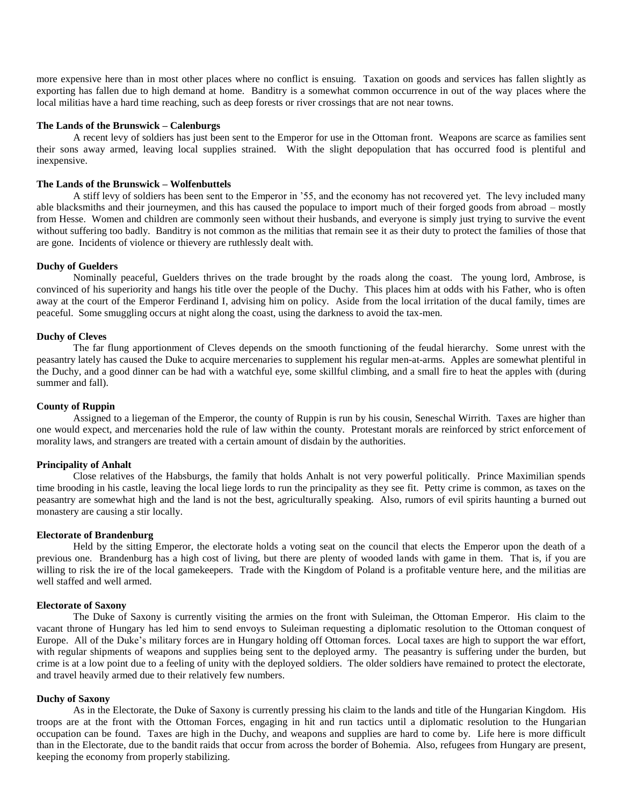more expensive here than in most other places where no conflict is ensuing. Taxation on goods and services has fallen slightly as exporting has fallen due to high demand at home. Banditry is a somewhat common occurrence in out of the way places where the local militias have a hard time reaching, such as deep forests or river crossings that are not near towns.

## **The Lands of the Brunswick – Calenburgs**

A recent levy of soldiers has just been sent to the Emperor for use in the Ottoman front. Weapons are scarce as families sent their sons away armed, leaving local supplies strained. With the slight depopulation that has occurred food is plentiful and inexpensive.

#### **The Lands of the Brunswick – Wolfenbuttels**

A stiff levy of soldiers has been sent to the Emperor in '55, and the economy has not recovered yet. The levy included many able blacksmiths and their journeymen, and this has caused the populace to import much of their forged goods from abroad – mostly from Hesse. Women and children are commonly seen without their husbands, and everyone is simply just trying to survive the event without suffering too badly. Banditry is not common as the militias that remain see it as their duty to protect the families of those that are gone. Incidents of violence or thievery are ruthlessly dealt with.

## **Duchy of Guelders**

Nominally peaceful, Guelders thrives on the trade brought by the roads along the coast. The young lord, Ambrose, is convinced of his superiority and hangs his title over the people of the Duchy. This places him at odds with his Father, who is often away at the court of the Emperor Ferdinand I, advising him on policy. Aside from the local irritation of the ducal family, times are peaceful. Some smuggling occurs at night along the coast, using the darkness to avoid the tax-men.

## **Duchy of Cleves**

The far flung apportionment of Cleves depends on the smooth functioning of the feudal hierarchy. Some unrest with the peasantry lately has caused the Duke to acquire mercenaries to supplement his regular men-at-arms. Apples are somewhat plentiful in the Duchy, and a good dinner can be had with a watchful eye, some skillful climbing, and a small fire to heat the apples with (during summer and fall).

## **County of Ruppin**

Assigned to a liegeman of the Emperor, the county of Ruppin is run by his cousin, Seneschal Wirrith. Taxes are higher than one would expect, and mercenaries hold the rule of law within the county. Protestant morals are reinforced by strict enforcement of morality laws, and strangers are treated with a certain amount of disdain by the authorities.

#### **Principality of Anhalt**

Close relatives of the Habsburgs, the family that holds Anhalt is not very powerful politically. Prince Maximilian spends time brooding in his castle, leaving the local liege lords to run the principality as they see fit. Petty crime is common, as taxes on the peasantry are somewhat high and the land is not the best, agriculturally speaking. Also, rumors of evil spirits haunting a burned out monastery are causing a stir locally.

### **Electorate of Brandenburg**

Held by the sitting Emperor, the electorate holds a voting seat on the council that elects the Emperor upon the death of a previous one. Brandenburg has a high cost of living, but there are plenty of wooded lands with game in them. That is, if you are willing to risk the ire of the local gamekeepers. Trade with the Kingdom of Poland is a profitable venture here, and the militias are well staffed and well armed.

#### **Electorate of Saxony**

The Duke of Saxony is currently visiting the armies on the front with Suleiman, the Ottoman Emperor. His claim to the vacant throne of Hungary has led him to send envoys to Suleiman requesting a diplomatic resolution to the Ottoman conquest of Europe. All of the Duke's military forces are in Hungary holding off Ottoman forces. Local taxes are high to support the war effort, with regular shipments of weapons and supplies being sent to the deployed army. The peasantry is suffering under the burden, but crime is at a low point due to a feeling of unity with the deployed soldiers. The older soldiers have remained to protect the electorate, and travel heavily armed due to their relatively few numbers.

## **Duchy of Saxony**

As in the Electorate, the Duke of Saxony is currently pressing his claim to the lands and title of the Hungarian Kingdom. His troops are at the front with the Ottoman Forces, engaging in hit and run tactics until a diplomatic resolution to the Hungarian occupation can be found. Taxes are high in the Duchy, and weapons and supplies are hard to come by. Life here is more difficult than in the Electorate, due to the bandit raids that occur from across the border of Bohemia. Also, refugees from Hungary are present, keeping the economy from properly stabilizing.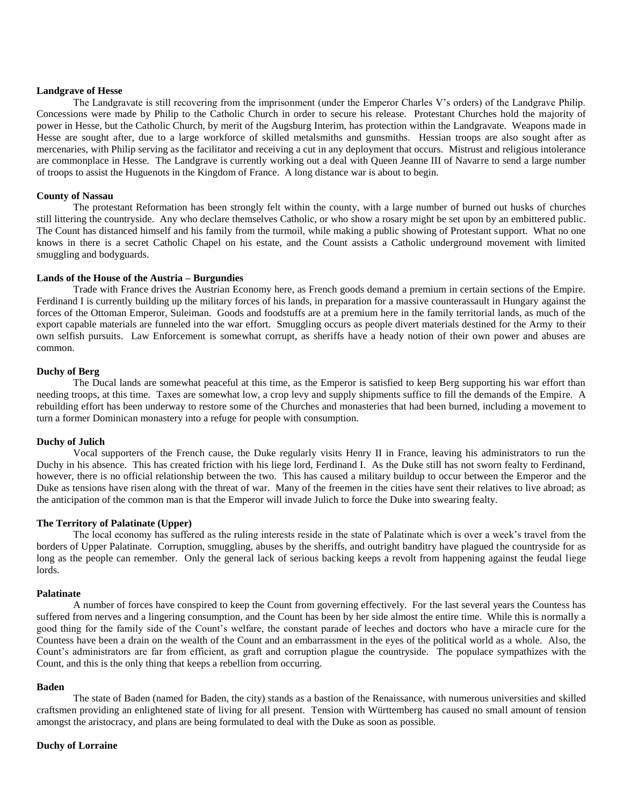## **Landgrave of Hesse**

The Landgravate is still recovering from the imprisonment (under the Emperor Charles V's orders) of the Landgrave Philip. Concessions were made by Philip to the Catholic Church in order to secure his release. Protestant Churches hold the majority of power in Hesse, but the Catholic Church, by merit of the Augsburg Interim, has protection within the Landgravate. Weapons made in Hesse are sought after, due to a large workforce of skilled metalsmiths and gunsmiths. Hessian troops are also sought after as mercenaries, with Philip serving as the facilitator and receiving a cut in any deployment that occurs. Mistrust and religious intolerance are commonplace in Hesse. The Landgrave is currently working out a deal with Queen Jeanne III of Navarre to send a large number of troops to assist the Huguenots in the Kingdom of France. A long distance war is about to begin.

## **County of Nassau**

The protestant Reformation has been strongly felt within the county, with a large number of burned out husks of churches still littering the countryside. Any who declare themselves Catholic, or who show a rosary might be set upon by an embittered public. The Count has distanced himself and his family from the turmoil, while making a public showing of Protestant support. What no one knows in there is a secret Catholic Chapel on his estate, and the Count assists a Catholic underground movement with limited smuggling and bodyguards.

## **Lands of the House of the Austria – Burgundies**

Trade with France drives the Austrian Economy here, as French goods demand a premium in certain sections of the Empire. Ferdinand I is currently building up the military forces of his lands, in preparation for a massive counterassault in Hungary against the forces of the Ottoman Emperor, Suleiman. Goods and foodstuffs are at a premium here in the family territorial lands, as much of the export capable materials are funneled into the war effort. Smuggling occurs as people divert materials destined for the Army to their own selfish pursuits. Law Enforcement is somewhat corrupt, as sheriffs have a heady notion of their own power and abuses are common.

## **Duchy of Berg**

The Ducal lands are somewhat peaceful at this time, as the Emperor is satisfied to keep Berg supporting his war effort than needing troops, at this time. Taxes are somewhat low, a crop levy and supply shipments suffice to fill the demands of the Empire. A rebuilding effort has been underway to restore some of the Churches and monasteries that had been burned, including a movement to turn a former Dominican monastery into a refuge for people with consumption.

### **Duchy of Julich**

Vocal supporters of the French cause, the Duke regularly visits Henry II in France, leaving his administrators to run the Duchy in his absence. This has created friction with his liege lord, Ferdinand I. As the Duke still has not sworn fealty to Ferdinand, however, there is no official relationship between the two. This has caused a military buildup to occur between the Emperor and the Duke as tensions have risen along with the threat of war. Many of the freemen in the cities have sent their relatives to live abroad; as the anticipation of the common man is that the Emperor will invade Julich to force the Duke into swearing fealty.

## **The Territory of Palatinate (Upper)**

The local economy has suffered as the ruling interests reside in the state of Palatinate which is over a week's travel from the borders of Upper Palatinate. Corruption, smuggling, abuses by the sheriffs, and outright banditry have plagued the countryside for as long as the people can remember. Only the general lack of serious backing keeps a revolt from happening against the feudal liege lords.

## **Palatinate**

A number of forces have conspired to keep the Count from governing effectively. For the last several years the Countess has suffered from nerves and a lingering consumption, and the Count has been by her side almost the entire time. While this is normally a good thing for the family side of the Count's welfare, the constant parade of leeches and doctors who have a miracle cure for the Countess have been a drain on the wealth of the Count and an embarrassment in the eyes of the political world as a whole. Also, the Count's administrators are far from efficient, as graft and corruption plague the countryside. The populace sympathizes with the Count, and this is the only thing that keeps a rebellion from occurring.

## **Baden**

The state of Baden (named for Baden, the city) stands as a bastion of the Renaissance, with numerous universities and skilled craftsmen providing an enlightened state of living for all present. Tension with Württemberg has caused no small amount of tension amongst the aristocracy, and plans are being formulated to deal with the Duke as soon as possible.

## **Duchy of Lorraine**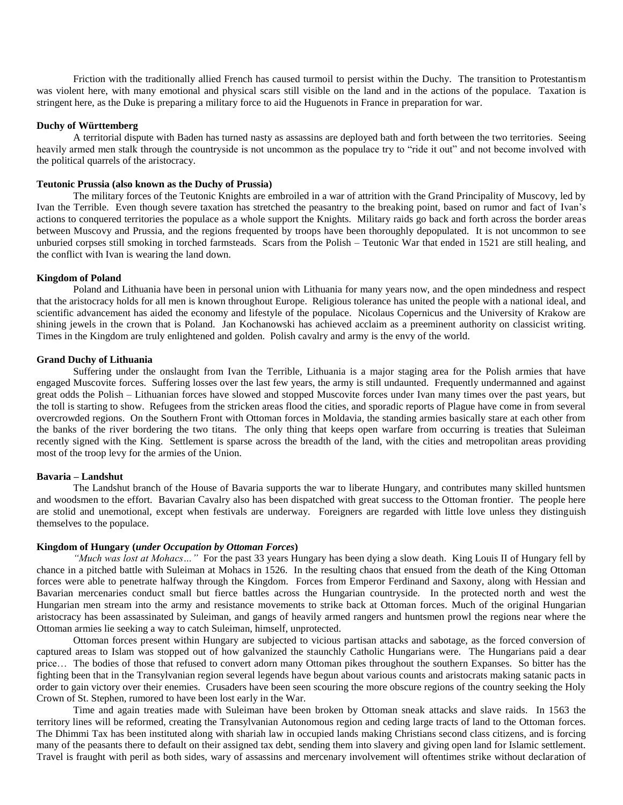Friction with the traditionally allied French has caused turmoil to persist within the Duchy. The transition to Protestantism was violent here, with many emotional and physical scars still visible on the land and in the actions of the populace. Taxation is stringent here, as the Duke is preparing a military force to aid the Huguenots in France in preparation for war.

## **Duchy of Württemberg**

A territorial dispute with Baden has turned nasty as assassins are deployed bath and forth between the two territories. Seeing heavily armed men stalk through the countryside is not uncommon as the populace try to "ride it out" and not become involved with the political quarrels of the aristocracy.

## **Teutonic Prussia (also known as the Duchy of Prussia)**

The military forces of the Teutonic Knights are embroiled in a war of attrition with the Grand Principality of Muscovy, led by Ivan the Terrible. Even though severe taxation has stretched the peasantry to the breaking point, based on rumor and fact of Ivan's actions to conquered territories the populace as a whole support the Knights. Military raids go back and forth across the border areas between Muscovy and Prussia, and the regions frequented by troops have been thoroughly depopulated. It is not uncommon to see unburied corpses still smoking in torched farmsteads. Scars from the Polish – Teutonic War that ended in 1521 are still healing, and the conflict with Ivan is wearing the land down.

#### **Kingdom of Poland**

Poland and Lithuania have been in personal union with Lithuania for many years now, and the open mindedness and respect that the aristocracy holds for all men is known throughout Europe. Religious tolerance has united the people with a national ideal, and scientific advancement has aided the economy and lifestyle of the populace. Nicolaus Copernicus and the University of Krakow are shining jewels in the crown that is Poland. Jan Kochanowski has achieved acclaim as a preeminent authority on classicist writing. Times in the Kingdom are truly enlightened and golden. Polish cavalry and army is the envy of the world.

## **Grand Duchy of Lithuania**

Suffering under the onslaught from Ivan the Terrible, Lithuania is a major staging area for the Polish armies that have engaged Muscovite forces. Suffering losses over the last few years, the army is still undaunted. Frequently undermanned and against great odds the Polish – Lithuanian forces have slowed and stopped Muscovite forces under Ivan many times over the past years, but the toll is starting to show. Refugees from the stricken areas flood the cities, and sporadic reports of Plague have come in from several overcrowded regions. On the Southern Front with Ottoman forces in Moldavia, the standing armies basically stare at each other from the banks of the river bordering the two titans. The only thing that keeps open warfare from occurring is treaties that Suleiman recently signed with the King. Settlement is sparse across the breadth of the land, with the cities and metropolitan areas providing most of the troop levy for the armies of the Union.

## **Bavaria – Landshut**

The Landshut branch of the House of Bavaria supports the war to liberate Hungary, and contributes many skilled huntsmen and woodsmen to the effort. Bavarian Cavalry also has been dispatched with great success to the Ottoman frontier. The people here are stolid and unemotional, except when festivals are underway. Foreigners are regarded with little love unless they distinguish themselves to the populace.

## **Kingdom of Hungary (***under Occupation by Ottoman Forces***)**

*"Much was lost at Mohacs…"* For the past 33 years Hungary has been dying a slow death. King Louis II of Hungary fell by chance in a pitched battle with Suleiman at Mohacs in 1526. In the resulting chaos that ensued from the death of the King Ottoman forces were able to penetrate halfway through the Kingdom. Forces from Emperor Ferdinand and Saxony, along with Hessian and Bavarian mercenaries conduct small but fierce battles across the Hungarian countryside. In the protected north and west the Hungarian men stream into the army and resistance movements to strike back at Ottoman forces. Much of the original Hungarian aristocracy has been assassinated by Suleiman, and gangs of heavily armed rangers and huntsmen prowl the regions near where the Ottoman armies lie seeking a way to catch Suleiman, himself, unprotected.

Ottoman forces present within Hungary are subjected to vicious partisan attacks and sabotage, as the forced conversion of captured areas to Islam was stopped out of how galvanized the staunchly Catholic Hungarians were. The Hungarians paid a dear price… The bodies of those that refused to convert adorn many Ottoman pikes throughout the southern Expanses. So bitter has the fighting been that in the Transylvanian region several legends have begun about various counts and aristocrats making satanic pacts in order to gain victory over their enemies. Crusaders have been seen scouring the more obscure regions of the country seeking the Holy Crown of St. Stephen, rumored to have been lost early in the War.

Time and again treaties made with Suleiman have been broken by Ottoman sneak attacks and slave raids. In 1563 the territory lines will be reformed, creating the Transylvanian Autonomous region and ceding large tracts of land to the Ottoman forces. The Dhimmi Tax has been instituted along with shariah law in occupied lands making Christians second class citizens, and is forcing many of the peasants there to default on their assigned tax debt, sending them into slavery and giving open land for Islamic settlement. Travel is fraught with peril as both sides, wary of assassins and mercenary involvement will oftentimes strike without declaration of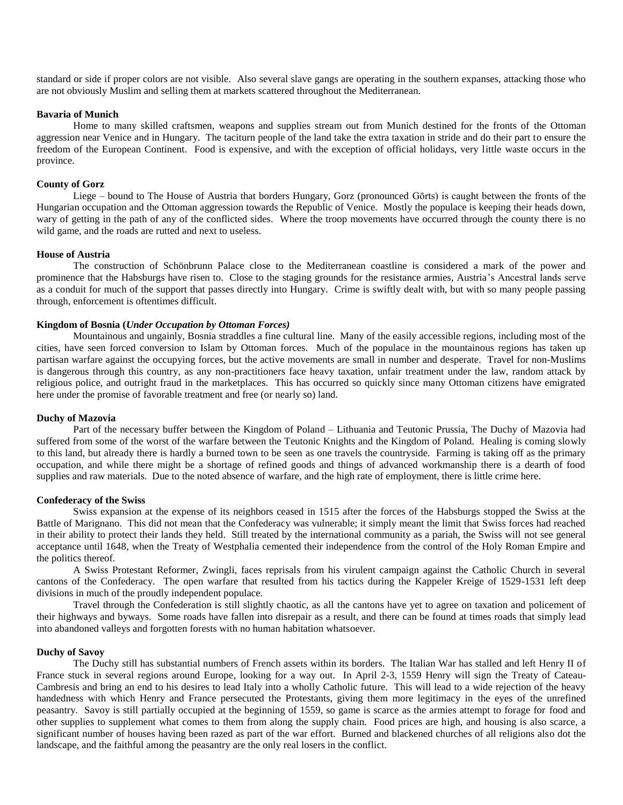standard or side if proper colors are not visible. Also several slave gangs are operating in the southern expanses, attacking those who are not obviously Muslim and selling them at markets scattered throughout the Mediterranean.

### **Bavaria of Munich**

Home to many skilled craftsmen, weapons and supplies stream out from Munich destined for the fronts of the Ottoman aggression near Venice and in Hungary. The taciturn people of the land take the extra taxation in stride and do their part to ensure the freedom of the European Continent. Food is expensive, and with the exception of official holidays, very little waste occurs in the province.

## **County of Gorz**

Liege – bound to The House of Austria that borders Hungary, Gorz (pronounced Gōrts) is caught between the fronts of the Hungarian occupation and the Ottoman aggression towards the Republic of Venice. Mostly the populace is keeping their heads down, wary of getting in the path of any of the conflicted sides. Where the troop movements have occurred through the county there is no wild game, and the roads are rutted and next to useless.

#### **House of Austria**

The construction of Schönbrunn Palace close to the Mediterranean coastline is considered a mark of the power and prominence that the Habsburgs have risen to. Close to the staging grounds for the resistance armies, Austria's Ancestral lands serve as a conduit for much of the support that passes directly into Hungary. Crime is swiftly dealt with, but with so many people passing through, enforcement is oftentimes difficult.

## **Kingdom of Bosnia (***Under Occupation by Ottoman Forces)*

Mountainous and ungainly, Bosnia straddles a fine cultural line. Many of the easily accessible regions, including most of the cities, have seen forced conversion to Islam by Ottoman forces. Much of the populace in the mountainous regions has taken up partisan warfare against the occupying forces, but the active movements are small in number and desperate. Travel for non-Muslims is dangerous through this country, as any non-practitioners face heavy taxation, unfair treatment under the law, random attack by religious police, and outright fraud in the marketplaces. This has occurred so quickly since many Ottoman citizens have emigrated here under the promise of favorable treatment and free (or nearly so) land.

### **Duchy of Mazovia**

Part of the necessary buffer between the Kingdom of Poland – Lithuania and Teutonic Prussia, The Duchy of Mazovia had suffered from some of the worst of the warfare between the Teutonic Knights and the Kingdom of Poland. Healing is coming slowly to this land, but already there is hardly a burned town to be seen as one travels the countryside. Farming is taking off as the primary occupation, and while there might be a shortage of refined goods and things of advanced workmanship there is a dearth of food supplies and raw materials. Due to the noted absence of warfare, and the high rate of employment, there is little crime here.

#### **Confederacy of the Swiss**

Swiss expansion at the expense of its neighbors ceased in 1515 after the forces of the Habsburgs stopped the Swiss at the Battle of Marignano. This did not mean that the Confederacy was vulnerable; it simply meant the limit that Swiss forces had reached in their ability to protect their lands they held. Still treated by the international community as a pariah, the Swiss will not see general acceptance until 1648, when the Treaty of Westphalia cemented their independence from the control of the Holy Roman Empire and the politics thereof.

A Swiss Protestant Reformer, Zwingli, faces reprisals from his virulent campaign against the Catholic Church in several cantons of the Confederacy. The open warfare that resulted from his tactics during the Kappeler Kreige of 1529-1531 left deep divisions in much of the proudly independent populace.

Travel through the Confederation is still slightly chaotic, as all the cantons have yet to agree on taxation and policement of their highways and byways. Some roads have fallen into disrepair as a result, and there can be found at times roads that simply lead into abandoned valleys and forgotten forests with no human habitation whatsoever.

#### **Duchy of Savoy**

The Duchy still has substantial numbers of French assets within its borders. The Italian War has stalled and left Henry II of France stuck in several regions around Europe, looking for a way out. In April 2-3, 1559 Henry will sign the Treaty of Cateau-Cambresis and bring an end to his desires to lead Italy into a wholly Catholic future. This will lead to a wide rejection of the heavy handedness with which Henry and France persecuted the Protestants, giving them more legitimacy in the eyes of the unrefined peasantry. Savoy is still partially occupied at the beginning of 1559, so game is scarce as the armies attempt to forage for food and other supplies to supplement what comes to them from along the supply chain. Food prices are high, and housing is also scarce, a significant number of houses having been razed as part of the war effort. Burned and blackened churches of all religions also dot the landscape, and the faithful among the peasantry are the only real losers in the conflict.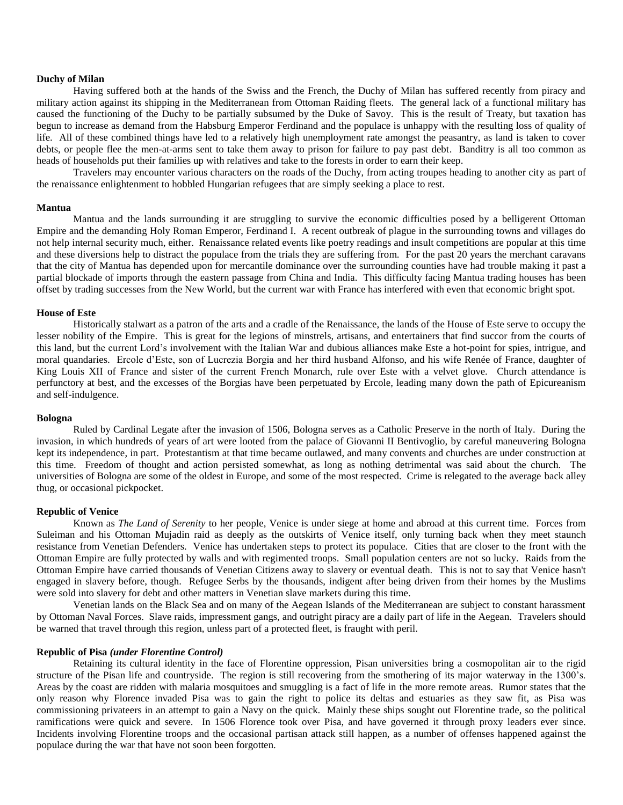#### **Duchy of Milan**

Having suffered both at the hands of the Swiss and the French, the Duchy of Milan has suffered recently from piracy and military action against its shipping in the Mediterranean from Ottoman Raiding fleets. The general lack of a functional military has caused the functioning of the Duchy to be partially subsumed by the Duke of Savoy. This is the result of Treaty, but taxation has begun to increase as demand from the Habsburg Emperor Ferdinand and the populace is unhappy with the resulting loss of quality of life. All of these combined things have led to a relatively high unemployment rate amongst the peasantry, as land is taken to cover debts, or people flee the men-at-arms sent to take them away to prison for failure to pay past debt. Banditry is all too common as heads of households put their families up with relatives and take to the forests in order to earn their keep.

Travelers may encounter various characters on the roads of the Duchy, from acting troupes heading to another city as part of the renaissance enlightenment to hobbled Hungarian refugees that are simply seeking a place to rest.

#### **Mantua**

Mantua and the lands surrounding it are struggling to survive the economic difficulties posed by a belligerent Ottoman Empire and the demanding Holy Roman Emperor, Ferdinand I. A recent outbreak of plague in the surrounding towns and villages do not help internal security much, either. Renaissance related events like poetry readings and insult competitions are popular at this time and these diversions help to distract the populace from the trials they are suffering from. For the past 20 years the merchant caravans that the city of Mantua has depended upon for mercantile dominance over the surrounding counties have had trouble making it past a partial blockade of imports through the eastern passage from China and India. This difficulty facing Mantua trading houses has been offset by trading successes from the New World, but the current war with France has interfered with even that economic bright spot.

## **House of Este**

Historically stalwart as a patron of the arts and a cradle of the Renaissance, the lands of the House of Este serve to occupy the lesser nobility of the Empire. This is great for the legions of minstrels, artisans, and entertainers that find succor from the courts of this land, but the current Lord's involvement with the Italian War and dubious alliances make Este a hot-point for spies, intrigue, and moral quandaries. Ercole d'Este, son of Lucrezia Borgia and her third husband Alfonso, and his wife Renée of France, daughter of King Louis XII of France and sister of the current French Monarch, rule over Este with a velvet glove. Church attendance is perfunctory at best, and the excesses of the Borgias have been perpetuated by Ercole, leading many down the path of Epicureanism and self-indulgence.

#### **Bologna**

Ruled by Cardinal Legate after the invasion of 1506, Bologna serves as a Catholic Preserve in the north of Italy. During the invasion, in which hundreds of years of art were looted from the palace of Giovanni II Bentivoglio, by careful maneuvering Bologna kept its independence, in part. Protestantism at that time became outlawed, and many convents and churches are under construction at this time. Freedom of thought and action persisted somewhat, as long as nothing detrimental was said about the church. The universities of Bologna are some of the oldest in Europe, and some of the most respected. Crime is relegated to the average back alley thug, or occasional pickpocket.

#### **Republic of Venice**

Known as *The Land of Serenity* to her people, Venice is under siege at home and abroad at this current time. Forces from Suleiman and his Ottoman Mujadin raid as deeply as the outskirts of Venice itself, only turning back when they meet staunch resistance from Venetian Defenders. Venice has undertaken steps to protect its populace. Cities that are closer to the front with the Ottoman Empire are fully protected by walls and with regimented troops. Small population centers are not so lucky. Raids from the Ottoman Empire have carried thousands of Venetian Citizens away to slavery or eventual death. This is not to say that Venice hasn't engaged in slavery before, though. Refugee Serbs by the thousands, indigent after being driven from their homes by the Muslims were sold into slavery for debt and other matters in Venetian slave markets during this time.

Venetian lands on the Black Sea and on many of the Aegean Islands of the Mediterranean are subject to constant harassment by Ottoman Naval Forces. Slave raids, impressment gangs, and outright piracy are a daily part of life in the Aegean. Travelers should be warned that travel through this region, unless part of a protected fleet, is fraught with peril.

#### **Republic of Pisa** *(under Florentine Control)*

Retaining its cultural identity in the face of Florentine oppression, Pisan universities bring a cosmopolitan air to the rigid structure of the Pisan life and countryside. The region is still recovering from the smothering of its major waterway in the 1300's. Areas by the coast are ridden with malaria mosquitoes and smuggling is a fact of life in the more remote areas. Rumor states that the only reason why Florence invaded Pisa was to gain the right to police its deltas and estuaries as they saw fit, as Pisa was commissioning privateers in an attempt to gain a Navy on the quick. Mainly these ships sought out Florentine trade, so the political ramifications were quick and severe. In 1506 Florence took over Pisa, and have governed it through proxy leaders ever since. Incidents involving Florentine troops and the occasional partisan attack still happen, as a number of offenses happened against the populace during the war that have not soon been forgotten.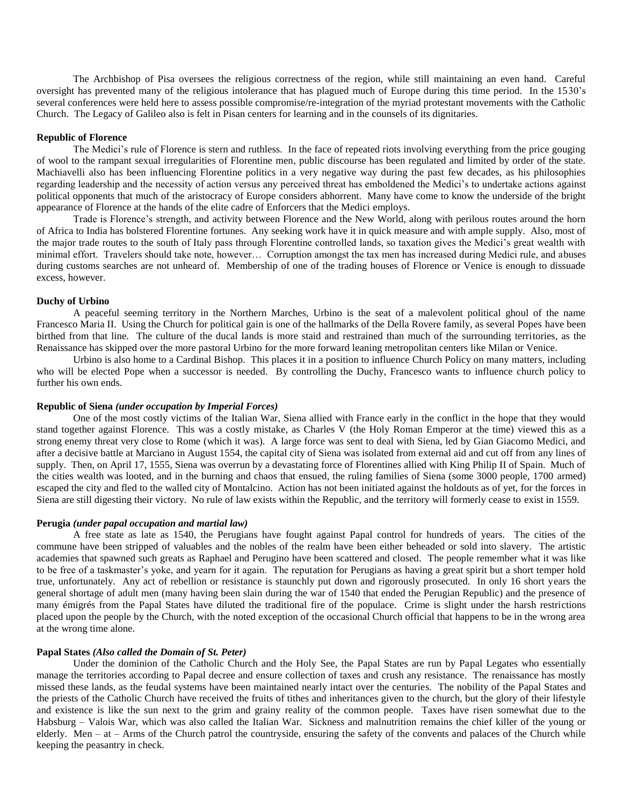The Archbishop of Pisa oversees the religious correctness of the region, while still maintaining an even hand. Careful oversight has prevented many of the religious intolerance that has plagued much of Europe during this time period. In the 1530's several conferences were held here to assess possible compromise/re-integration of the myriad protestant movements with the Catholic Church. The Legacy of Galileo also is felt in Pisan centers for learning and in the counsels of its dignitaries.

## **Republic of Florence**

The Medici's rule of Florence is stern and ruthless. In the face of repeated riots involving everything from the price gouging of wool to the rampant sexual irregularities of Florentine men, public discourse has been regulated and limited by order of the state. Machiavelli also has been influencing Florentine politics in a very negative way during the past few decades, as his philosophies regarding leadership and the necessity of action versus any perceived threat has emboldened the Medici's to undertake actions against political opponents that much of the aristocracy of Europe considers abhorrent. Many have come to know the underside of the bright appearance of Florence at the hands of the elite cadre of Enforcers that the Medici employs.

Trade is Florence's strength, and activity between Florence and the New World, along with perilous routes around the horn of Africa to India has bolstered Florentine fortunes. Any seeking work have it in quick measure and with ample supply. Also, most of the major trade routes to the south of Italy pass through Florentine controlled lands, so taxation gives the Medici's great wealth with minimal effort. Travelers should take note, however… Corruption amongst the tax men has increased during Medici rule, and abuses during customs searches are not unheard of. Membership of one of the trading houses of Florence or Venice is enough to dissuade excess, however.

#### **Duchy of Urbino**

A peaceful seeming territory in the Northern Marches, Urbino is the seat of a malevolent political ghoul of the name Francesco Maria II. Using the Church for political gain is one of the hallmarks of the Della Rovere family, as several Popes have been birthed from that line. The culture of the ducal lands is more staid and restrained than much of the surrounding territories, as the Renaissance has skipped over the more pastoral Urbino for the more forward leaning metropolitan centers like Milan or Venice.

Urbino is also home to a Cardinal Bishop. This places it in a position to influence Church Policy on many matters, including who will be elected Pope when a successor is needed. By controlling the Duchy, Francesco wants to influence church policy to further his own ends.

### **Republic of Siena** *(under occupation by Imperial Forces)*

One of the most costly victims of the Italian War, Siena allied with France early in the conflict in the hope that they would stand together against Florence. This was a costly mistake, as Charles V (the Holy Roman Emperor at the time) viewed this as a strong enemy threat very close to Rome (which it was). A large force was sent to deal with Siena, led by Gian Giacomo Medici, and after a decisive battle at Marciano in August 1554, the capital city of Siena was isolated from external aid and cut off from any lines of supply. Then, on April 17, 1555, Siena was overrun by a devastating force of Florentines allied with King Philip II of Spain. Much of the cities wealth was looted, and in the burning and chaos that ensued, the ruling families of Siena (some 3000 people, 1700 armed) escaped the city and fled to the walled city of Montalcino. Action has not been initiated against the holdouts as of yet, for the forces in Siena are still digesting their victory. No rule of law exists within the Republic, and the territory will formerly cease to exist in 1559.

#### **Perugia** *(under papal occupation and martial law)*

A free state as late as 1540, the Perugians have fought against Papal control for hundreds of years. The cities of the commune have been stripped of valuables and the nobles of the realm have been either beheaded or sold into slavery. The artistic academies that spawned such greats as Raphael and Perugino have been scattered and closed. The people remember what it was like to be free of a taskmaster's yoke, and yearn for it again. The reputation for Perugians as having a great spirit but a short temper hold true, unfortunately. Any act of rebellion or resistance is staunchly put down and rigorously prosecuted. In only 16 short years the general shortage of adult men (many having been slain during the war of 1540 that ended the Perugian Republic) and the presence of many émigrés from the Papal States have diluted the traditional fire of the populace. Crime is slight under the harsh restrictions placed upon the people by the Church, with the noted exception of the occasional Church official that happens to be in the wrong area at the wrong time alone.

## **Papal States** *(Also called the Domain of St. Peter)*

Under the dominion of the Catholic Church and the Holy See, the Papal States are run by Papal Legates who essentially manage the territories according to Papal decree and ensure collection of taxes and crush any resistance. The renaissance has mostly missed these lands, as the feudal systems have been maintained nearly intact over the centuries. The nobility of the Papal States and the priests of the Catholic Church have received the fruits of tithes and inheritances given to the church, but the glory of their lifestyle and existence is like the sun next to the grim and grainy reality of the common people. Taxes have risen somewhat due to the Habsburg – Valois War, which was also called the Italian War. Sickness and malnutrition remains the chief killer of the young or elderly. Men – at – Arms of the Church patrol the countryside, ensuring the safety of the convents and palaces of the Church while keeping the peasantry in check.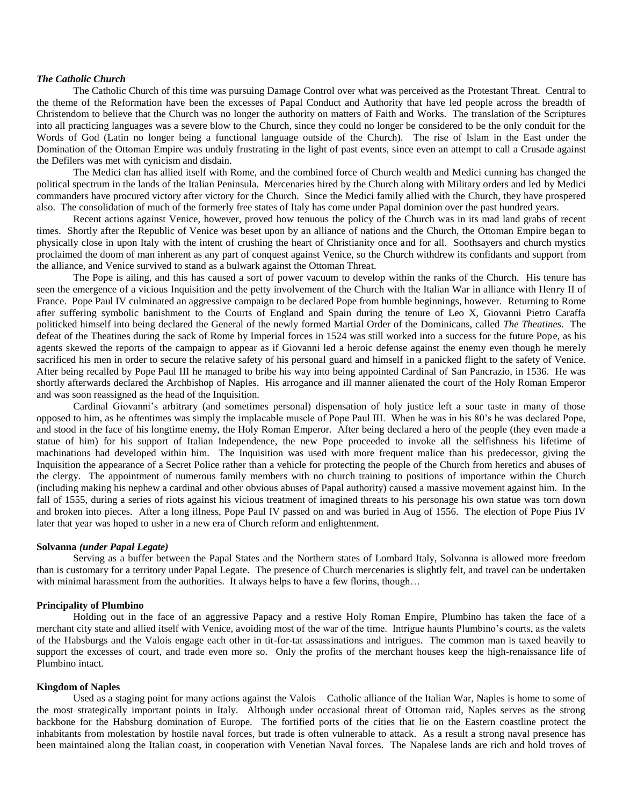## *The Catholic Church*

The Catholic Church of this time was pursuing Damage Control over what was perceived as the Protestant Threat. Central to the theme of the Reformation have been the excesses of Papal Conduct and Authority that have led people across the breadth of Christendom to believe that the Church was no longer the authority on matters of Faith and Works. The translation of the Scriptures into all practicing languages was a severe blow to the Church, since they could no longer be considered to be the only conduit for the Words of God (Latin no longer being a functional language outside of the Church). The rise of Islam in the East under the Domination of the Ottoman Empire was unduly frustrating in the light of past events, since even an attempt to call a Crusade against the Defilers was met with cynicism and disdain.

The Medici clan has allied itself with Rome, and the combined force of Church wealth and Medici cunning has changed the political spectrum in the lands of the Italian Peninsula. Mercenaries hired by the Church along with Military orders and led by Medici commanders have procured victory after victory for the Church. Since the Medici family allied with the Church, they have prospered also. The consolidation of much of the formerly free states of Italy has come under Papal dominion over the past hundred years.

Recent actions against Venice, however, proved how tenuous the policy of the Church was in its mad land grabs of recent times. Shortly after the Republic of Venice was beset upon by an alliance of nations and the Church, the Ottoman Empire began to physically close in upon Italy with the intent of crushing the heart of Christianity once and for all. Soothsayers and church mystics proclaimed the doom of man inherent as any part of conquest against Venice, so the Church withdrew its confidants and support from the alliance, and Venice survived to stand as a bulwark against the Ottoman Threat.

The Pope is ailing, and this has caused a sort of power vacuum to develop within the ranks of the Church. His tenure has seen the emergence of a vicious Inquisition and the petty involvement of the Church with the Italian War in alliance with Henry II of France. Pope Paul IV culminated an aggressive campaign to be declared Pope from humble beginnings, however. Returning to Rome after suffering symbolic banishment to the Courts of England and Spain during the tenure of Leo X, Giovanni Pietro Caraffa politicked himself into being declared the General of the newly formed Martial Order of the Dominicans, called *The Theatines*. The defeat of the Theatines during the sack of Rome by Imperial forces in 1524 was still worked into a success for the future Pope, as his agents skewed the reports of the campaign to appear as if Giovanni led a heroic defense against the enemy even though he merely sacrificed his men in order to secure the relative safety of his personal guard and himself in a panicked flight to the safety of Venice. After being recalled by Pope Paul III he managed to bribe his way into being appointed Cardinal of San Pancrazio, in 1536. He was shortly afterwards declared the Archbishop of Naples. His arrogance and ill manner alienated the court of the Holy Roman Emperor and was soon reassigned as the head of the Inquisition.

Cardinal Giovanni's arbitrary (and sometimes personal) dispensation of holy justice left a sour taste in many of those opposed to him, as he oftentimes was simply the implacable muscle of Pope Paul III. When he was in his 80's he was declared Pope, and stood in the face of his longtime enemy, the Holy Roman Emperor. After being declared a hero of the people (they even made a statue of him) for his support of Italian Independence, the new Pope proceeded to invoke all the selfishness his lifetime of machinations had developed within him. The Inquisition was used with more frequent malice than his predecessor, giving the Inquisition the appearance of a Secret Police rather than a vehicle for protecting the people of the Church from heretics and abuses of the clergy. The appointment of numerous family members with no church training to positions of importance within the Church (including making his nephew a cardinal and other obvious abuses of Papal authority) caused a massive movement against him. In the fall of 1555, during a series of riots against his vicious treatment of imagined threats to his personage his own statue was torn down and broken into pieces. After a long illness, Pope Paul IV passed on and was buried in Aug of 1556. The election of Pope Pius IV later that year was hoped to usher in a new era of Church reform and enlightenment.

### **Solvanna** *(under Papal Legate)*

Serving as a buffer between the Papal States and the Northern states of Lombard Italy, Solvanna is allowed more freedom than is customary for a territory under Papal Legate. The presence of Church mercenaries is slightly felt, and travel can be undertaken with minimal harassment from the authorities. It always helps to have a few florins, though...

## **Principality of Plumbino**

Holding out in the face of an aggressive Papacy and a restive Holy Roman Empire, Plumbino has taken the face of a merchant city state and allied itself with Venice, avoiding most of the war of the time. Intrigue haunts Plumbino's courts, as the valets of the Habsburgs and the Valois engage each other in tit-for-tat assassinations and intrigues. The common man is taxed heavily to support the excesses of court, and trade even more so. Only the profits of the merchant houses keep the high-renaissance life of Plumbino intact.

## **Kingdom of Naples**

Used as a staging point for many actions against the Valois – Catholic alliance of the Italian War, Naples is home to some of the most strategically important points in Italy. Although under occasional threat of Ottoman raid, Naples serves as the strong backbone for the Habsburg domination of Europe. The fortified ports of the cities that lie on the Eastern coastline protect the inhabitants from molestation by hostile naval forces, but trade is often vulnerable to attack. As a result a strong naval presence has been maintained along the Italian coast, in cooperation with Venetian Naval forces. The Napalese lands are rich and hold troves of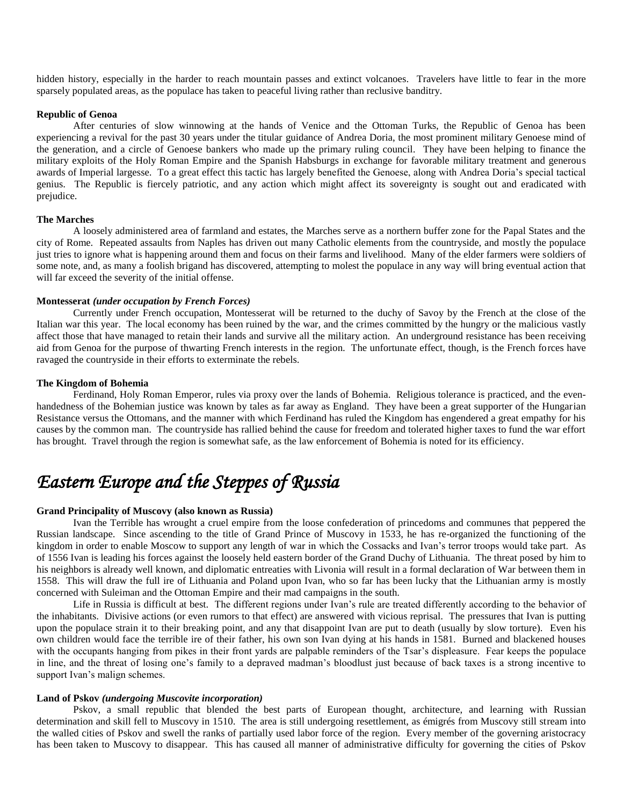hidden history, especially in the harder to reach mountain passes and extinct volcanoes. Travelers have little to fear in the more sparsely populated areas, as the populace has taken to peaceful living rather than reclusive banditry.

### **Republic of Genoa**

After centuries of slow winnowing at the hands of Venice and the Ottoman Turks, the Republic of Genoa has been experiencing a revival for the past 30 years under the titular guidance of Andrea Doria, the most prominent military Genoese mind of the generation, and a circle of Genoese bankers who made up the primary ruling council. They have been helping to finance the military exploits of the Holy Roman Empire and the Spanish Habsburgs in exchange for favorable military treatment and generous awards of Imperial largesse. To a great effect this tactic has largely benefited the Genoese, along with Andrea Doria's special tactical genius. The Republic is fiercely patriotic, and any action which might affect its sovereignty is sought out and eradicated with prejudice.

## **The Marches**

A loosely administered area of farmland and estates, the Marches serve as a northern buffer zone for the Papal States and the city of Rome. Repeated assaults from Naples has driven out many Catholic elements from the countryside, and mostly the populace just tries to ignore what is happening around them and focus on their farms and livelihood. Many of the elder farmers were soldiers of some note, and, as many a foolish brigand has discovered, attempting to molest the populace in any way will bring eventual action that will far exceed the severity of the initial offense.

## **Montesserat** *(under occupation by French Forces)*

Currently under French occupation, Montesserat will be returned to the duchy of Savoy by the French at the close of the Italian war this year. The local economy has been ruined by the war, and the crimes committed by the hungry or the malicious vastly affect those that have managed to retain their lands and survive all the military action. An underground resistance has been receiving aid from Genoa for the purpose of thwarting French interests in the region. The unfortunate effect, though, is the French forces have ravaged the countryside in their efforts to exterminate the rebels.

#### **The Kingdom of Bohemia**

Ferdinand, Holy Roman Emperor, rules via proxy over the lands of Bohemia. Religious tolerance is practiced, and the evenhandedness of the Bohemian justice was known by tales as far away as England. They have been a great supporter of the Hungarian Resistance versus the Ottomans, and the manner with which Ferdinand has ruled the Kingdom has engendered a great empathy for his causes by the common man. The countryside has rallied behind the cause for freedom and tolerated higher taxes to fund the war effort has brought. Travel through the region is somewhat safe, as the law enforcement of Bohemia is noted for its efficiency.

# *Eastern Europe and the Steppes of Russia*

## **Grand Principality of Muscovy (also known as Russia)**

Ivan the Terrible has wrought a cruel empire from the loose confederation of princedoms and communes that peppered the Russian landscape. Since ascending to the title of Grand Prince of Muscovy in 1533, he has re-organized the functioning of the kingdom in order to enable Moscow to support any length of war in which the Cossacks and Ivan's terror troops would take part. As of 1556 Ivan is leading his forces against the loosely held eastern border of the Grand Duchy of Lithuania. The threat posed by him to his neighbors is already well known, and diplomatic entreaties with Livonia will result in a formal declaration of War between them in 1558. This will draw the full ire of Lithuania and Poland upon Ivan, who so far has been lucky that the Lithuanian army is mostly concerned with Suleiman and the Ottoman Empire and their mad campaigns in the south.

Life in Russia is difficult at best. The different regions under Ivan's rule are treated differently according to the behavior of the inhabitants. Divisive actions (or even rumors to that effect) are answered with vicious reprisal. The pressures that Ivan is putting upon the populace strain it to their breaking point, and any that disappoint Ivan are put to death (usually by slow torture). Even his own children would face the terrible ire of their father, his own son Ivan dying at his hands in 1581. Burned and blackened houses with the occupants hanging from pikes in their front yards are palpable reminders of the Tsar's displeasure. Fear keeps the populace in line, and the threat of losing one's family to a depraved madman's bloodlust just because of back taxes is a strong incentive to support Ivan's malign schemes.

## **Land of Pskov** *(undergoing Muscovite incorporation)*

Pskov, a small republic that blended the best parts of European thought, architecture, and learning with Russian determination and skill fell to Muscovy in 1510. The area is still undergoing resettlement, as émigrés from Muscovy still stream into the walled cities of Pskov and swell the ranks of partially used labor force of the region. Every member of the governing aristocracy has been taken to Muscovy to disappear. This has caused all manner of administrative difficulty for governing the cities of Pskov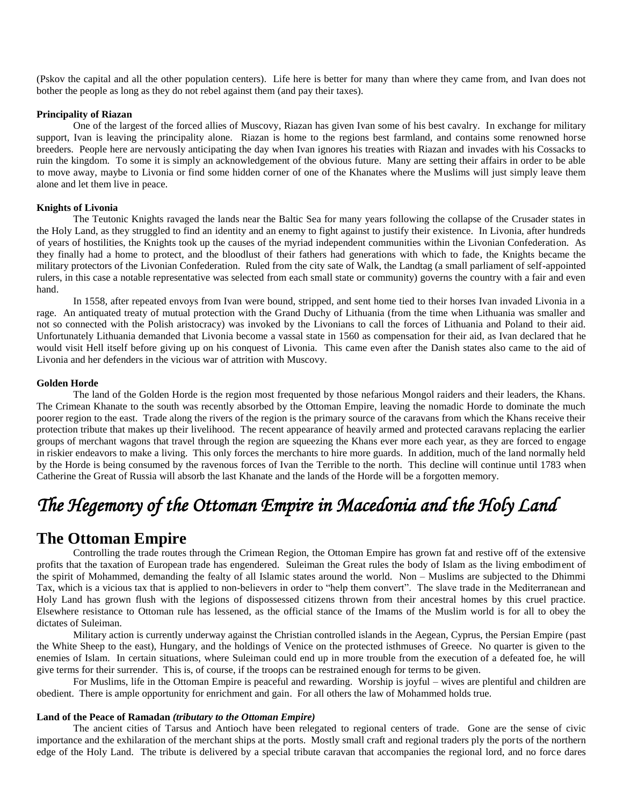(Pskov the capital and all the other population centers). Life here is better for many than where they came from, and Ivan does not bother the people as long as they do not rebel against them (and pay their taxes).

## **Principality of Riazan**

One of the largest of the forced allies of Muscovy, Riazan has given Ivan some of his best cavalry. In exchange for military support, Ivan is leaving the principality alone. Riazan is home to the regions best farmland, and contains some renowned horse breeders. People here are nervously anticipating the day when Ivan ignores his treaties with Riazan and invades with his Cossacks to ruin the kingdom. To some it is simply an acknowledgement of the obvious future. Many are setting their affairs in order to be able to move away, maybe to Livonia or find some hidden corner of one of the Khanates where the Muslims will just simply leave them alone and let them live in peace.

## **Knights of Livonia**

The Teutonic Knights ravaged the lands near the Baltic Sea for many years following the collapse of the Crusader states in the Holy Land, as they struggled to find an identity and an enemy to fight against to justify their existence. In Livonia, after hundreds of years of hostilities, the Knights took up the causes of the myriad independent communities within the Livonian Confederation. As they finally had a home to protect, and the bloodlust of their fathers had generations with which to fade, the Knights became the military protectors of the Livonian Confederation. Ruled from the city sate of Walk, the Landtag (a small parliament of self-appointed rulers, in this case a notable representative was selected from each small state or community) governs the country with a fair and even hand.

In 1558, after repeated envoys from Ivan were bound, stripped, and sent home tied to their horses Ivan invaded Livonia in a rage. An antiquated treaty of mutual protection with the Grand Duchy of Lithuania (from the time when Lithuania was smaller and not so connected with the Polish aristocracy) was invoked by the Livonians to call the forces of Lithuania and Poland to their aid. Unfortunately Lithuania demanded that Livonia become a vassal state in 1560 as compensation for their aid, as Ivan declared that he would visit Hell itself before giving up on his conquest of Livonia. This came even after the Danish states also came to the aid of Livonia and her defenders in the vicious war of attrition with Muscovy.

#### **Golden Horde**

The land of the Golden Horde is the region most frequented by those nefarious Mongol raiders and their leaders, the Khans. The Crimean Khanate to the south was recently absorbed by the Ottoman Empire, leaving the nomadic Horde to dominate the much poorer region to the east. Trade along the rivers of the region is the primary source of the caravans from which the Khans receive their protection tribute that makes up their livelihood. The recent appearance of heavily armed and protected caravans replacing the earlier groups of merchant wagons that travel through the region are squeezing the Khans ever more each year, as they are forced to engage in riskier endeavors to make a living. This only forces the merchants to hire more guards. In addition, much of the land normally held by the Horde is being consumed by the ravenous forces of Ivan the Terrible to the north. This decline will continue until 1783 when Catherine the Great of Russia will absorb the last Khanate and the lands of the Horde will be a forgotten memory.

# *The Hegemony of the Ottoman Empire in Macedonia and the Holy Land*

# **The Ottoman Empire**

Controlling the trade routes through the Crimean Region, the Ottoman Empire has grown fat and restive off of the extensive profits that the taxation of European trade has engendered. Suleiman the Great rules the body of Islam as the living embodiment of the spirit of Mohammed, demanding the fealty of all Islamic states around the world. Non – Muslims are subjected to the Dhimmi Tax, which is a vicious tax that is applied to non-believers in order to "help them convert". The slave trade in the Mediterranean and Holy Land has grown flush with the legions of dispossessed citizens thrown from their ancestral homes by this cruel practice. Elsewhere resistance to Ottoman rule has lessened, as the official stance of the Imams of the Muslim world is for all to obey the dictates of Suleiman.

Military action is currently underway against the Christian controlled islands in the Aegean, Cyprus, the Persian Empire (past the White Sheep to the east), Hungary, and the holdings of Venice on the protected isthmuses of Greece. No quarter is given to the enemies of Islam. In certain situations, where Suleiman could end up in more trouble from the execution of a defeated foe, he will give terms for their surrender. This is, of course, if the troops can be restrained enough for terms to be given.

For Muslims, life in the Ottoman Empire is peaceful and rewarding. Worship is joyful – wives are plentiful and children are obedient. There is ample opportunity for enrichment and gain. For all others the law of Mohammed holds true.

## **Land of the Peace of Ramadan** *(tributary to the Ottoman Empire)*

The ancient cities of Tarsus and Antioch have been relegated to regional centers of trade. Gone are the sense of civic importance and the exhilaration of the merchant ships at the ports. Mostly small craft and regional traders ply the ports of the northern edge of the Holy Land. The tribute is delivered by a special tribute caravan that accompanies the regional lord, and no force dares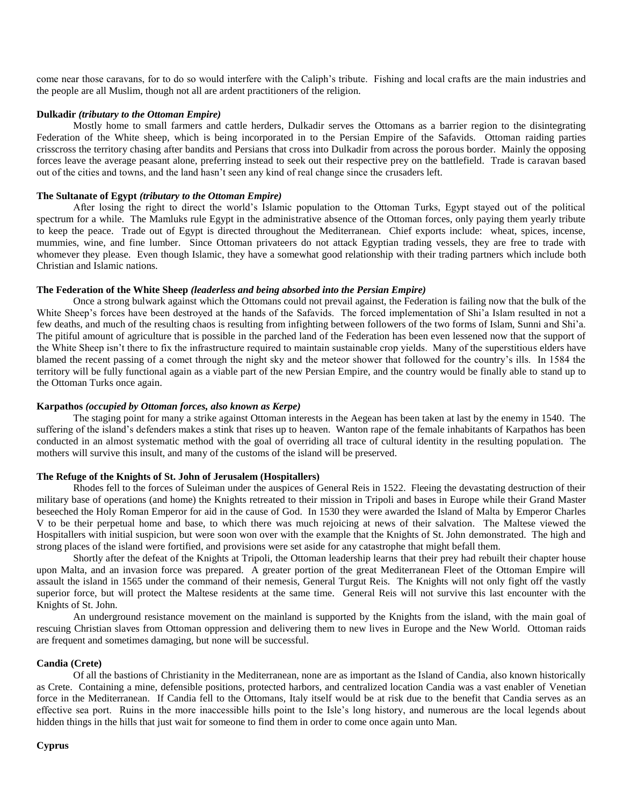come near those caravans, for to do so would interfere with the Caliph's tribute. Fishing and local crafts are the main industries and the people are all Muslim, though not all are ardent practitioners of the religion.

## **Dulkadir** *(tributary to the Ottoman Empire)*

Mostly home to small farmers and cattle herders, Dulkadir serves the Ottomans as a barrier region to the disintegrating Federation of the White sheep, which is being incorporated in to the Persian Empire of the Safavids. Ottoman raiding parties crisscross the territory chasing after bandits and Persians that cross into Dulkadir from across the porous border. Mainly the opposing forces leave the average peasant alone, preferring instead to seek out their respective prey on the battlefield. Trade is caravan based out of the cities and towns, and the land hasn't seen any kind of real change since the crusaders left.

## **The Sultanate of Egypt** *(tributary to the Ottoman Empire)*

After losing the right to direct the world's Islamic population to the Ottoman Turks, Egypt stayed out of the political spectrum for a while. The Mamluks rule Egypt in the administrative absence of the Ottoman forces, only paying them yearly tribute to keep the peace. Trade out of Egypt is directed throughout the Mediterranean. Chief exports include: wheat, spices, incense, mummies, wine, and fine lumber. Since Ottoman privateers do not attack Egyptian trading vessels, they are free to trade with whomever they please. Even though Islamic, they have a somewhat good relationship with their trading partners which include both Christian and Islamic nations.

#### **The Federation of the White Sheep** *(leaderless and being absorbed into the Persian Empire)*

Once a strong bulwark against which the Ottomans could not prevail against, the Federation is failing now that the bulk of the White Sheep's forces have been destroyed at the hands of the Safavids. The forced implementation of Shi'a Islam resulted in not a few deaths, and much of the resulting chaos is resulting from infighting between followers of the two forms of Islam, Sunni and Shi'a. The pitiful amount of agriculture that is possible in the parched land of the Federation has been even lessened now that the support of the White Sheep isn't there to fix the infrastructure required to maintain sustainable crop yields. Many of the superstitious elders have blamed the recent passing of a comet through the night sky and the meteor shower that followed for the country's ills. In 1584 the territory will be fully functional again as a viable part of the new Persian Empire, and the country would be finally able to stand up to the Ottoman Turks once again.

### **Karpathos** *(occupied by Ottoman forces, also known as Kerpe)*

The staging point for many a strike against Ottoman interests in the Aegean has been taken at last by the enemy in 1540. The suffering of the island's defenders makes a stink that rises up to heaven. Wanton rape of the female inhabitants of Karpathos has been conducted in an almost systematic method with the goal of overriding all trace of cultural identity in the resulting population. The mothers will survive this insult, and many of the customs of the island will be preserved.

## **The Refuge of the Knights of St. John of Jerusalem (Hospitallers)**

Rhodes fell to the forces of Suleiman under the auspices of General Reis in 1522. Fleeing the devastating destruction of their military base of operations (and home) the Knights retreated to their mission in Tripoli and bases in Europe while their Grand Master beseeched the Holy Roman Emperor for aid in the cause of God. In 1530 they were awarded the Island of Malta by Emperor Charles V to be their perpetual home and base, to which there was much rejoicing at news of their salvation. The Maltese viewed the Hospitallers with initial suspicion, but were soon won over with the example that the Knights of St. John demonstrated. The high and strong places of the island were fortified, and provisions were set aside for any catastrophe that might befall them.

Shortly after the defeat of the Knights at Tripoli, the Ottoman leadership learns that their prey had rebuilt their chapter house upon Malta, and an invasion force was prepared. A greater portion of the great Mediterranean Fleet of the Ottoman Empire will assault the island in 1565 under the command of their nemesis, General Turgut Reis. The Knights will not only fight off the vastly superior force, but will protect the Maltese residents at the same time. General Reis will not survive this last encounter with the Knights of St. John.

An underground resistance movement on the mainland is supported by the Knights from the island, with the main goal of rescuing Christian slaves from Ottoman oppression and delivering them to new lives in Europe and the New World. Ottoman raids are frequent and sometimes damaging, but none will be successful.

## **Candia (Crete)**

Of all the bastions of Christianity in the Mediterranean, none are as important as the Island of Candia, also known historically as Crete. Containing a mine, defensible positions, protected harbors, and centralized location Candia was a vast enabler of Venetian force in the Mediterranean. If Candia fell to the Ottomans, Italy itself would be at risk due to the benefit that Candia serves as an effective sea port. Ruins in the more inaccessible hills point to the Isle's long history, and numerous are the local legends about hidden things in the hills that just wait for someone to find them in order to come once again unto Man.

#### **Cyprus**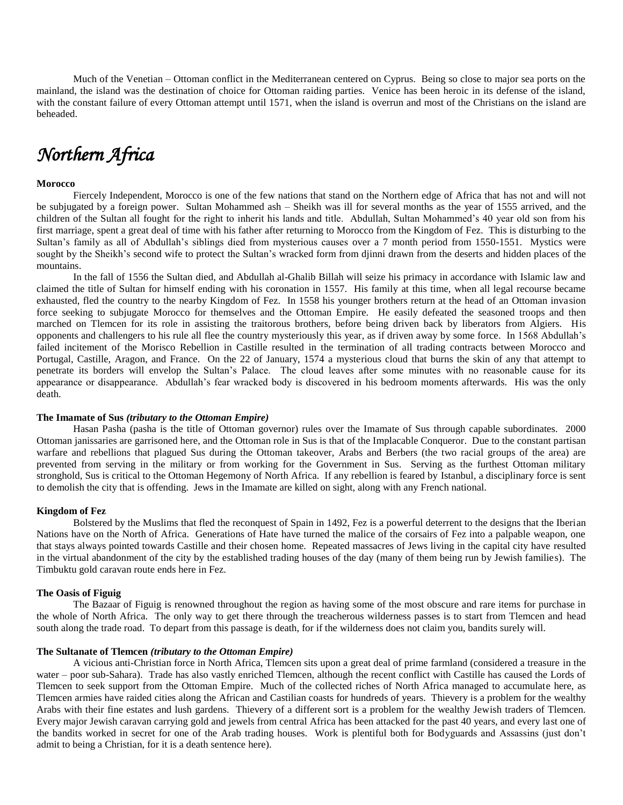Much of the Venetian – Ottoman conflict in the Mediterranean centered on Cyprus. Being so close to major sea ports on the mainland, the island was the destination of choice for Ottoman raiding parties. Venice has been heroic in its defense of the island, with the constant failure of every Ottoman attempt until 1571, when the island is overrun and most of the Christians on the island are beheaded.

# *Northern Africa*

## **Morocco**

Fiercely Independent, Morocco is one of the few nations that stand on the Northern edge of Africa that has not and will not be subjugated by a foreign power. Sultan Mohammed ash – Sheikh was ill for several months as the year of 1555 arrived, and the children of the Sultan all fought for the right to inherit his lands and title. Abdullah, Sultan Mohammed's 40 year old son from his first marriage, spent a great deal of time with his father after returning to Morocco from the Kingdom of Fez. This is disturbing to the Sultan's family as all of Abdullah's siblings died from mysterious causes over a 7 month period from 1550-1551. Mystics were sought by the Sheikh's second wife to protect the Sultan's wracked form from djinni drawn from the deserts and hidden places of the mountains.

In the fall of 1556 the Sultan died, and Abdullah al-Ghalib Billah will seize his primacy in accordance with Islamic law and claimed the title of Sultan for himself ending with his coronation in 1557. His family at this time, when all legal recourse became exhausted, fled the country to the nearby Kingdom of Fez. In 1558 his younger brothers return at the head of an Ottoman invasion force seeking to subjugate Morocco for themselves and the Ottoman Empire. He easily defeated the seasoned troops and then marched on Tlemcen for its role in assisting the traitorous brothers, before being driven back by liberators from Algiers. His opponents and challengers to his rule all flee the country mysteriously this year, as if driven away by some force. In 1568 Abdullah's failed incitement of the Morisco Rebellion in Castille resulted in the termination of all trading contracts between Morocco and Portugal, Castille, Aragon, and France. On the 22 of January, 1574 a mysterious cloud that burns the skin of any that attempt to penetrate its borders will envelop the Sultan's Palace. The cloud leaves after some minutes with no reasonable cause for its appearance or disappearance. Abdullah's fear wracked body is discovered in his bedroom moments afterwards. His was the only death.

## **The Imamate of Sus** *(tributary to the Ottoman Empire)*

Hasan Pasha (pasha is the title of Ottoman governor) rules over the Imamate of Sus through capable subordinates. 2000 Ottoman janissaries are garrisoned here, and the Ottoman role in Sus is that of the Implacable Conqueror. Due to the constant partisan warfare and rebellions that plagued Sus during the Ottoman takeover, Arabs and Berbers (the two racial groups of the area) are prevented from serving in the military or from working for the Government in Sus. Serving as the furthest Ottoman military stronghold, Sus is critical to the Ottoman Hegemony of North Africa. If any rebellion is feared by Istanbul, a disciplinary force is sent to demolish the city that is offending. Jews in the Imamate are killed on sight, along with any French national.

#### **Kingdom of Fez**

Bolstered by the Muslims that fled the reconquest of Spain in 1492, Fez is a powerful deterrent to the designs that the Iberian Nations have on the North of Africa. Generations of Hate have turned the malice of the corsairs of Fez into a palpable weapon, one that stays always pointed towards Castille and their chosen home. Repeated massacres of Jews living in the capital city have resulted in the virtual abandonment of the city by the established trading houses of the day (many of them being run by Jewish families). The Timbuktu gold caravan route ends here in Fez.

#### **The Oasis of Figuig**

The Bazaar of Figuig is renowned throughout the region as having some of the most obscure and rare items for purchase in the whole of North Africa. The only way to get there through the treacherous wilderness passes is to start from Tlemcen and head south along the trade road. To depart from this passage is death, for if the wilderness does not claim you, bandits surely will.

## **The Sultanate of Tlemcen** *(tributary to the Ottoman Empire)*

A vicious anti-Christian force in North Africa, Tlemcen sits upon a great deal of prime farmland (considered a treasure in the water – poor sub-Sahara). Trade has also vastly enriched Tlemcen, although the recent conflict with Castille has caused the Lords of Tlemcen to seek support from the Ottoman Empire. Much of the collected riches of North Africa managed to accumulate here, as Tlemcen armies have raided cities along the African and Castilian coasts for hundreds of years. Thievery is a problem for the wealthy Arabs with their fine estates and lush gardens. Thievery of a different sort is a problem for the wealthy Jewish traders of Tlemcen. Every major Jewish caravan carrying gold and jewels from central Africa has been attacked for the past 40 years, and every last one of the bandits worked in secret for one of the Arab trading houses. Work is plentiful both for Bodyguards and Assassins (just don't admit to being a Christian, for it is a death sentence here).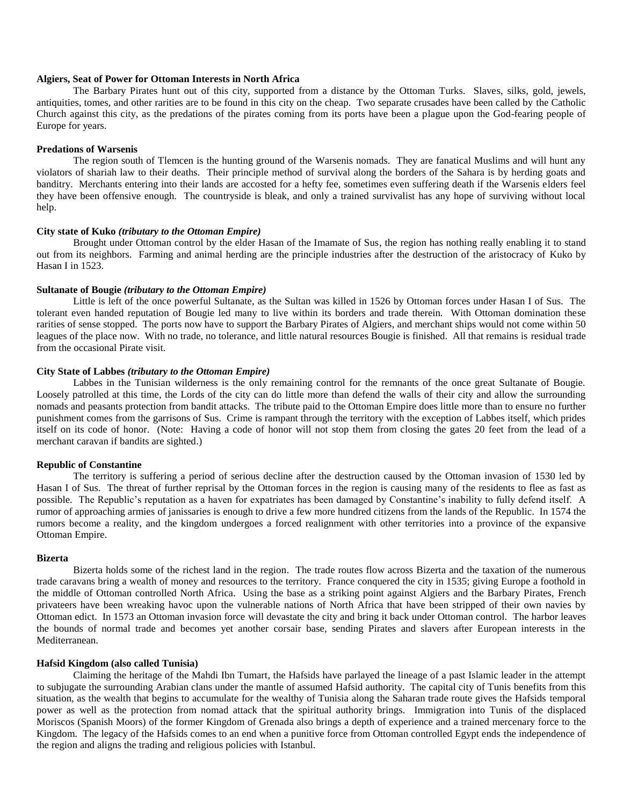## **Algiers, Seat of Power for Ottoman Interests in North Africa**

The Barbary Pirates hunt out of this city, supported from a distance by the Ottoman Turks. Slaves, silks, gold, jewels, antiquities, tomes, and other rarities are to be found in this city on the cheap. Two separate crusades have been called by the Catholic Church against this city, as the predations of the pirates coming from its ports have been a plague upon the God-fearing people of Europe for years.

## **Predations of Warsenis**

The region south of Tlemcen is the hunting ground of the Warsenis nomads. They are fanatical Muslims and will hunt any violators of shariah law to their deaths. Their principle method of survival along the borders of the Sahara is by herding goats and banditry. Merchants entering into their lands are accosted for a hefty fee, sometimes even suffering death if the Warsenis elders feel they have been offensive enough. The countryside is bleak, and only a trained survivalist has any hope of surviving without local help.

#### **City state of Kuko** *(tributary to the Ottoman Empire)*

Brought under Ottoman control by the elder Hasan of the Imamate of Sus, the region has nothing really enabling it to stand out from its neighbors. Farming and animal herding are the principle industries after the destruction of the aristocracy of Kuko by Hasan I in 1523.

## **Sultanate of Bougie** *(tributary to the Ottoman Empire)*

Little is left of the once powerful Sultanate, as the Sultan was killed in 1526 by Ottoman forces under Hasan I of Sus. The tolerant even handed reputation of Bougie led many to live within its borders and trade therein. With Ottoman domination these rarities of sense stopped. The ports now have to support the Barbary Pirates of Algiers, and merchant ships would not come within 50 leagues of the place now. With no trade, no tolerance, and little natural resources Bougie is finished. All that remains is residual trade from the occasional Pirate visit.

## **City State of Labbes** *(tributary to the Ottoman Empire)*

Labbes in the Tunisian wilderness is the only remaining control for the remnants of the once great Sultanate of Bougie. Loosely patrolled at this time, the Lords of the city can do little more than defend the walls of their city and allow the surrounding nomads and peasants protection from bandit attacks. The tribute paid to the Ottoman Empire does little more than to ensure no further punishment comes from the garrisons of Sus. Crime is rampant through the territory with the exception of Labbes itself, which prides itself on its code of honor. (Note: Having a code of honor will not stop them from closing the gates 20 feet from the lead of a merchant caravan if bandits are sighted.)

## **Republic of Constantine**

The territory is suffering a period of serious decline after the destruction caused by the Ottoman invasion of 1530 led by Hasan I of Sus. The threat of further reprisal by the Ottoman forces in the region is causing many of the residents to flee as fast as possible. The Republic's reputation as a haven for expatriates has been damaged by Constantine's inability to fully defend itself. A rumor of approaching armies of janissaries is enough to drive a few more hundred citizens from the lands of the Republic. In 1574 the rumors become a reality, and the kingdom undergoes a forced realignment with other territories into a province of the expansive Ottoman Empire.

## **Bizerta**

Bizerta holds some of the richest land in the region. The trade routes flow across Bizerta and the taxation of the numerous trade caravans bring a wealth of money and resources to the territory. France conquered the city in 1535; giving Europe a foothold in the middle of Ottoman controlled North Africa. Using the base as a striking point against Algiers and the Barbary Pirates, French privateers have been wreaking havoc upon the vulnerable nations of North Africa that have been stripped of their own navies by Ottoman edict. In 1573 an Ottoman invasion force will devastate the city and bring it back under Ottoman control. The harbor leaves the bounds of normal trade and becomes yet another corsair base, sending Pirates and slavers after European interests in the Mediterranean.

## **Hafsid Kingdom (also called Tunisia)**

Claiming the heritage of the Mahdi Ibn Tumart, the Hafsids have parlayed the lineage of a past Islamic leader in the attempt to subjugate the surrounding Arabian clans under the mantle of assumed Hafsid authority. The capital city of Tunis benefits from this situation, as the wealth that begins to accumulate for the wealthy of Tunisia along the Saharan trade route gives the Hafsids temporal power as well as the protection from nomad attack that the spiritual authority brings. Immigration into Tunis of the displaced Moriscos (Spanish Moors) of the former Kingdom of Grenada also brings a depth of experience and a trained mercenary force to the Kingdom. The legacy of the Hafsids comes to an end when a punitive force from Ottoman controlled Egypt ends the independence of the region and aligns the trading and religious policies with Istanbul.